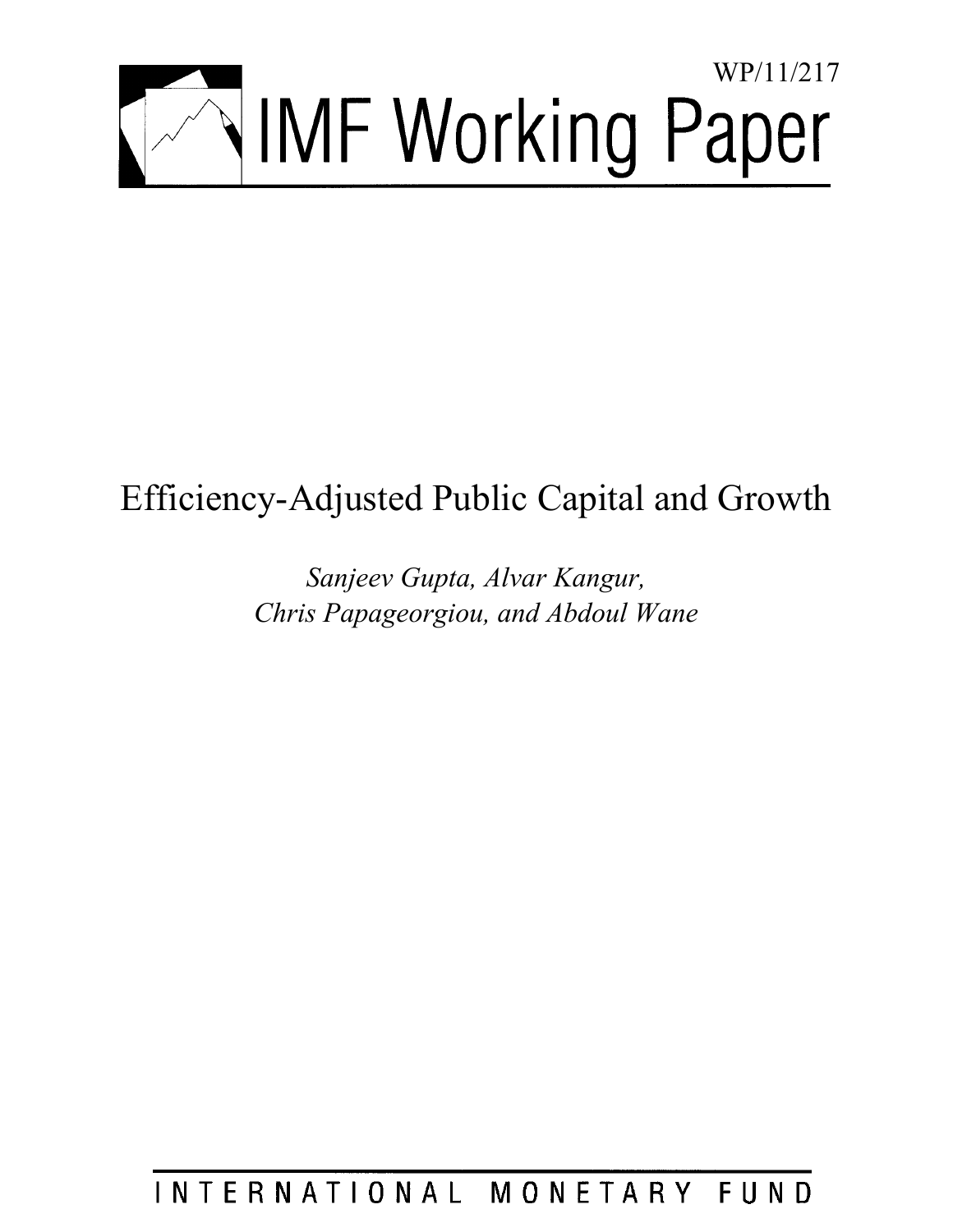

# Efficiency-Adjusted Public Capital and Growth

*Sanjeev Gupta, Alvar Kangur, Chris Papageorgiou, and Abdoul Wane* 

INTERNATIONAL MONETARY FUND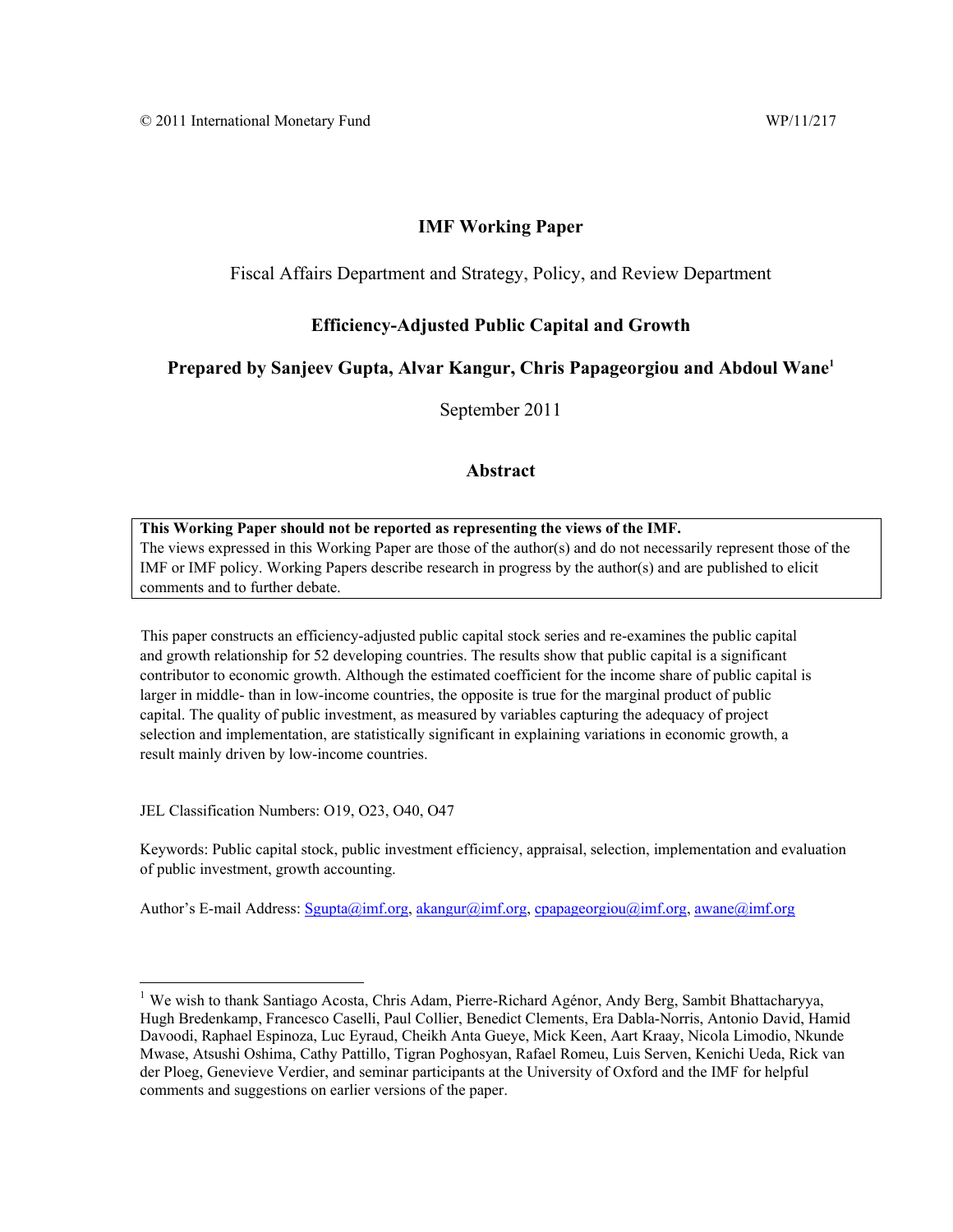#### **IMF Working Paper**

#### Fiscal Affairs Department and Strategy, Policy, and Review Department

#### **Efficiency-Adjusted Public Capital and Growth**

#### Prepared by Sanjeev Gupta, Alvar Kangur, Chris Papageorgiou and Abdoul Wane<sup>1</sup>

September 2011

#### **Abstract**

#### **This Working Paper should not be reported as representing the views of the IMF.**

The views expressed in this Working Paper are those of the author(s) and do not necessarily represent those of the IMF or IMF policy. Working Papers describe research in progress by the author(s) and are published to elicit comments and to further debate.

This paper constructs an efficiency-adjusted public capital stock series and re-examines the public capital and growth relationship for 52 developing countries. The results show that public capital is a significant contributor to economic growth. Although the estimated coefficient for the income share of public capital is larger in middle- than in low-income countries, the opposite is true for the marginal product of public capital. The quality of public investment, as measured by variables capturing the adequacy of project selection and implementation, are statistically significant in explaining variations in economic growth, a result mainly driven by low-income countries.

JEL Classification Numbers: O19, O23, O40, O47

 $\overline{a}$ 

Keywords: Public capital stock, public investment efficiency, appraisal, selection, implementation and evaluation of public investment, growth accounting.

Author's E-mail Address: Sgupta@imf.org, akangur@imf.org, cpapageorgiou@imf.org, awane@imf.org

<sup>&</sup>lt;sup>1</sup> We wish to thank Santiago Acosta, Chris Adam, Pierre-Richard Agénor, Andy Berg, Sambit Bhattacharyya, Hugh Bredenkamp, Francesco Caselli, Paul Collier, Benedict Clements, Era Dabla-Norris, Antonio David, Hamid Davoodi, Raphael Espinoza, Luc Eyraud, Cheikh Anta Gueye, Mick Keen, Aart Kraay, Nicola Limodio, Nkunde Mwase, Atsushi Oshima, Cathy Pattillo, Tigran Poghosyan, Rafael Romeu, Luis Serven, Kenichi Ueda, Rick van der Ploeg, Genevieve Verdier, and seminar participants at the University of Oxford and the IMF for helpful comments and suggestions on earlier versions of the paper.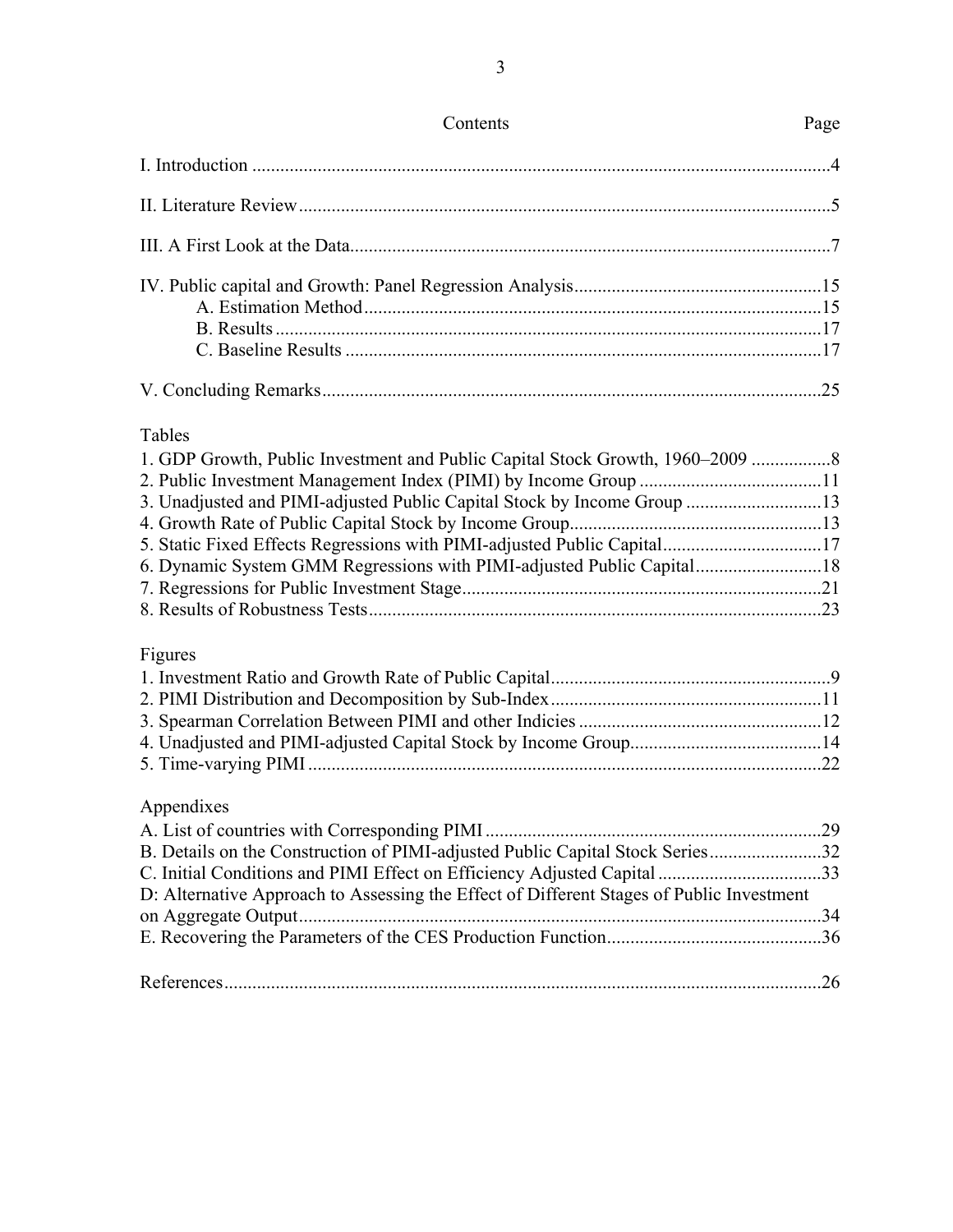| Tables                                                                                   |    |
|------------------------------------------------------------------------------------------|----|
| 1. GDP Growth, Public Investment and Public Capital Stock Growth, 1960-2009 8            |    |
|                                                                                          |    |
| 3. Unadjusted and PIMI-adjusted Public Capital Stock by Income Group 13                  |    |
|                                                                                          |    |
| 5. Static Fixed Effects Regressions with PIMI-adjusted Public Capital17                  |    |
| 6. Dynamic System GMM Regressions with PIMI-adjusted Public Capital18                    |    |
|                                                                                          |    |
|                                                                                          |    |
| Figures                                                                                  |    |
|                                                                                          |    |
|                                                                                          |    |
|                                                                                          |    |
|                                                                                          |    |
|                                                                                          |    |
| Appendixes                                                                               |    |
|                                                                                          | 29 |
| B. Details on the Construction of PIMI-adjusted Public Capital Stock Series32            |    |
| C. Initial Conditions and PIMI Effect on Efficiency Adjusted Capital 33                  |    |
| D: Alternative Approach to Assessing the Effect of Different Stages of Public Investment |    |
|                                                                                          |    |
|                                                                                          |    |
|                                                                                          |    |
|                                                                                          |    |

# Contents Page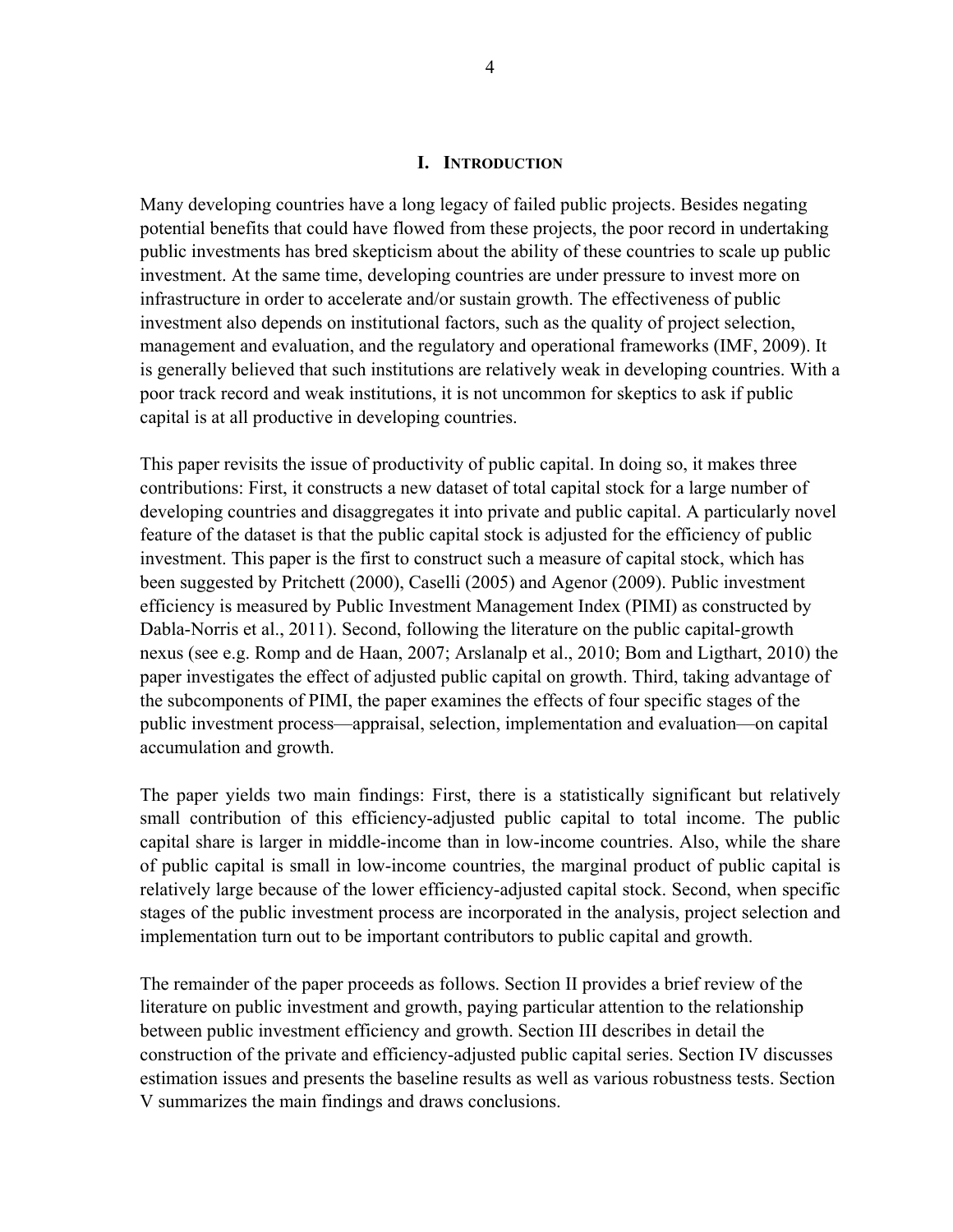#### **I. INTRODUCTION**

Many developing countries have a long legacy of failed public projects. Besides negating potential benefits that could have flowed from these projects, the poor record in undertaking public investments has bred skepticism about the ability of these countries to scale up public investment. At the same time, developing countries are under pressure to invest more on infrastructure in order to accelerate and/or sustain growth. The effectiveness of public investment also depends on institutional factors, such as the quality of project selection, management and evaluation, and the regulatory and operational frameworks (IMF, 2009). It is generally believed that such institutions are relatively weak in developing countries. With a poor track record and weak institutions, it is not uncommon for skeptics to ask if public capital is at all productive in developing countries.

This paper revisits the issue of productivity of public capital. In doing so, it makes three contributions: First, it constructs a new dataset of total capital stock for a large number of developing countries and disaggregates it into private and public capital. A particularly novel feature of the dataset is that the public capital stock is adjusted for the efficiency of public investment. This paper is the first to construct such a measure of capital stock, which has been suggested by Pritchett (2000), Caselli (2005) and Agenor (2009). Public investment efficiency is measured by Public Investment Management Index (PIMI) as constructed by Dabla-Norris et al., 2011). Second, following the literature on the public capital-growth nexus (see e.g. Romp and de Haan, 2007; Arslanalp et al., 2010; Bom and Ligthart, 2010) the paper investigates the effect of adjusted public capital on growth. Third, taking advantage of the subcomponents of PIMI, the paper examines the effects of four specific stages of the public investment process—appraisal, selection, implementation and evaluation—on capital accumulation and growth.

The paper yields two main findings: First, there is a statistically significant but relatively small contribution of this efficiency-adjusted public capital to total income. The public capital share is larger in middle-income than in low-income countries. Also, while the share of public capital is small in low-income countries, the marginal product of public capital is relatively large because of the lower efficiency-adjusted capital stock. Second, when specific stages of the public investment process are incorporated in the analysis, project selection and implementation turn out to be important contributors to public capital and growth.

The remainder of the paper proceeds as follows. Section II provides a brief review of the literature on public investment and growth, paying particular attention to the relationship between public investment efficiency and growth. Section III describes in detail the construction of the private and efficiency-adjusted public capital series. Section IV discusses estimation issues and presents the baseline results as well as various robustness tests. Section V summarizes the main findings and draws conclusions.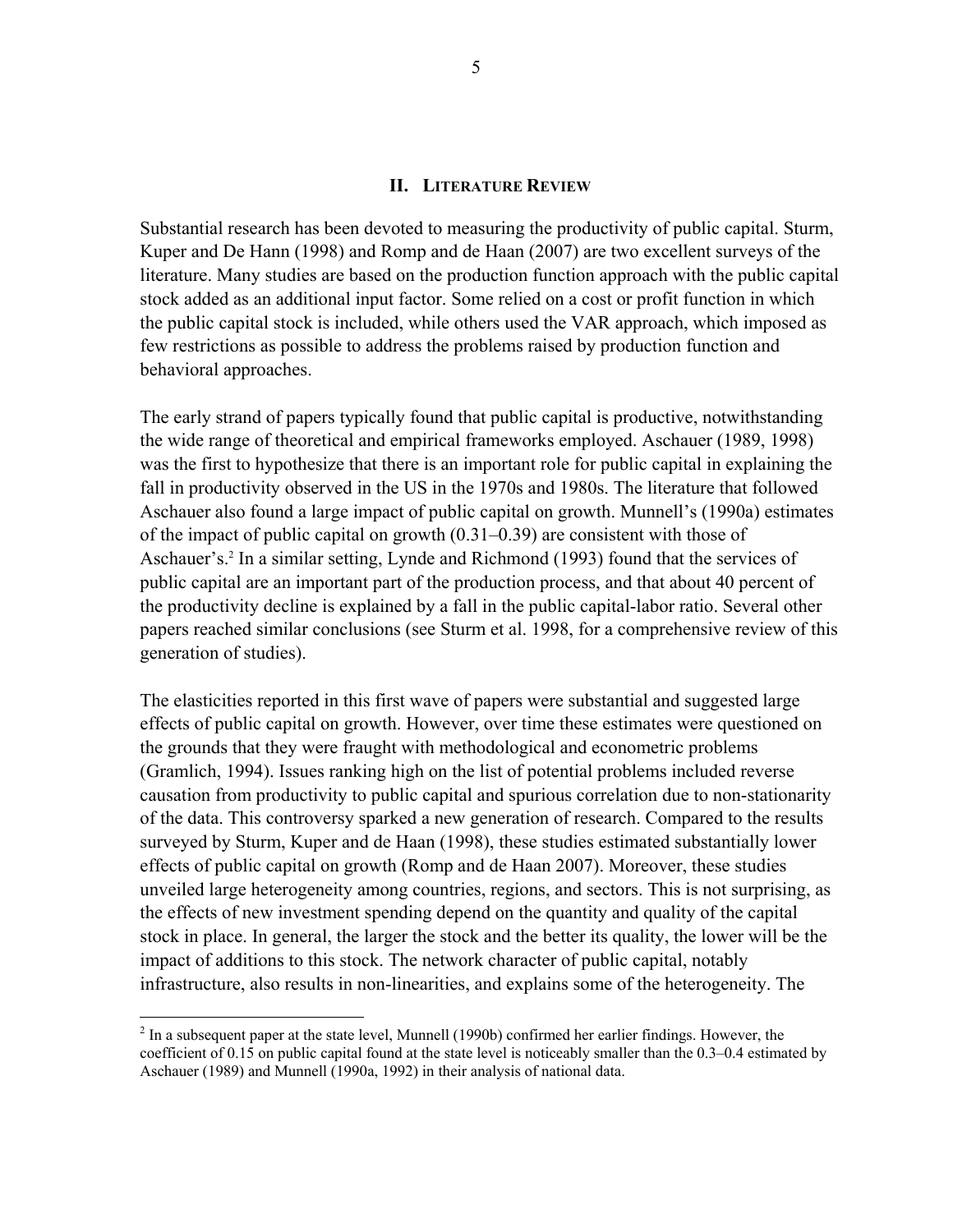#### **II. LITERATURE REVIEW**

Substantial research has been devoted to measuring the productivity of public capital. Sturm, Kuper and De Hann (1998) and Romp and de Haan (2007) are two excellent surveys of the literature. Many studies are based on the production function approach with the public capital stock added as an additional input factor. Some relied on a cost or profit function in which the public capital stock is included, while others used the VAR approach, which imposed as few restrictions as possible to address the problems raised by production function and behavioral approaches.

The early strand of papers typically found that public capital is productive, notwithstanding the wide range of theoretical and empirical frameworks employed. Aschauer (1989, 1998) was the first to hypothesize that there is an important role for public capital in explaining the fall in productivity observed in the US in the 1970s and 1980s. The literature that followed Aschauer also found a large impact of public capital on growth. Munnell's (1990a) estimates of the impact of public capital on growth (0.31–0.39) are consistent with those of Aschauer's.<sup>2</sup> In a similar setting, Lynde and Richmond (1993) found that the services of public capital are an important part of the production process, and that about 40 percent of the productivity decline is explained by a fall in the public capital-labor ratio. Several other papers reached similar conclusions (see Sturm et al. 1998, for a comprehensive review of this generation of studies).

The elasticities reported in this first wave of papers were substantial and suggested large effects of public capital on growth. However, over time these estimates were questioned on the grounds that they were fraught with methodological and econometric problems (Gramlich, 1994). Issues ranking high on the list of potential problems included reverse causation from productivity to public capital and spurious correlation due to non-stationarity of the data. This controversy sparked a new generation of research. Compared to the results surveyed by Sturm, Kuper and de Haan (1998), these studies estimated substantially lower effects of public capital on growth (Romp and de Haan 2007). Moreover, these studies unveiled large heterogeneity among countries, regions, and sectors. This is not surprising, as the effects of new investment spending depend on the quantity and quality of the capital stock in place. In general, the larger the stock and the better its quality, the lower will be the impact of additions to this stock. The network character of public capital, notably infrastructure, also results in non-linearities, and explains some of the heterogeneity. The

 $\overline{a}$ 

 $2 \text{ In a subsequent paper at the state level, Munnell (1990b) confirmed her earlier findings. However, the$ coefficient of 0.15 on public capital found at the state level is noticeably smaller than the 0.3–0.4 estimated by Aschauer (1989) and Munnell (1990a, 1992) in their analysis of national data.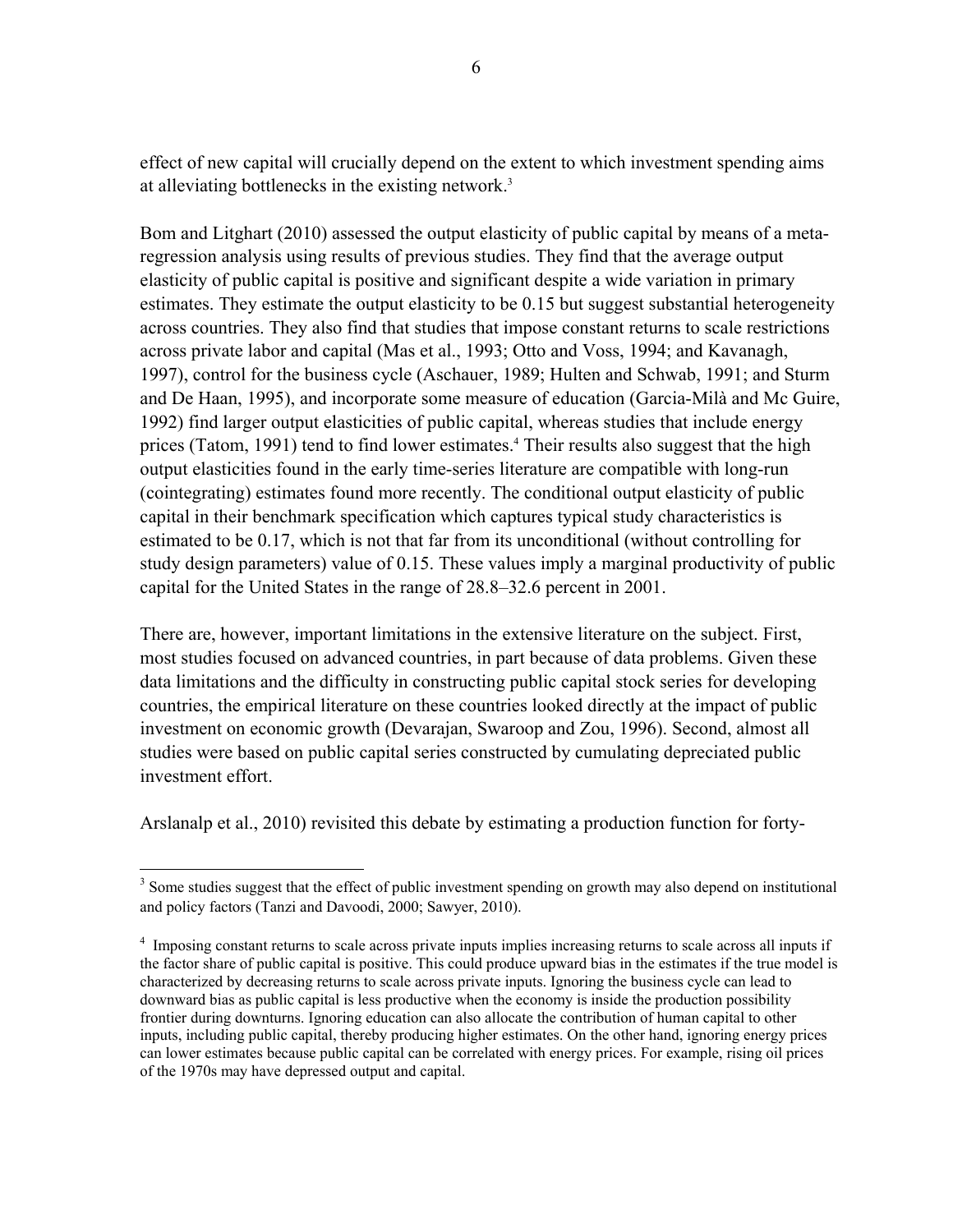effect of new capital will crucially depend on the extent to which investment spending aims at alleviating bottlenecks in the existing network.<sup>3</sup>

Bom and Litghart (2010) assessed the output elasticity of public capital by means of a metaregression analysis using results of previous studies. They find that the average output elasticity of public capital is positive and significant despite a wide variation in primary estimates. They estimate the output elasticity to be 0.15 but suggest substantial heterogeneity across countries. They also find that studies that impose constant returns to scale restrictions across private labor and capital (Mas et al., 1993; Otto and Voss, 1994; and Kavanagh, 1997), control for the business cycle (Aschauer, 1989; Hulten and Schwab, 1991; and Sturm and De Haan, 1995), and incorporate some measure of education (Garcia-Milà and Mc Guire, 1992) find larger output elasticities of public capital, whereas studies that include energy prices (Tatom, 1991) tend to find lower estimates.<sup>4</sup> Their results also suggest that the high output elasticities found in the early time-series literature are compatible with long-run (cointegrating) estimates found more recently. The conditional output elasticity of public capital in their benchmark specification which captures typical study characteristics is estimated to be 0.17, which is not that far from its unconditional (without controlling for study design parameters) value of 0.15. These values imply a marginal productivity of public capital for the United States in the range of 28.8–32.6 percent in 2001.

There are, however, important limitations in the extensive literature on the subject. First, most studies focused on advanced countries, in part because of data problems. Given these data limitations and the difficulty in constructing public capital stock series for developing countries, the empirical literature on these countries looked directly at the impact of public investment on economic growth (Devarajan, Swaroop and Zou, 1996). Second, almost all studies were based on public capital series constructed by cumulating depreciated public investment effort.

Arslanalp et al., 2010) revisited this debate by estimating a production function for forty-

 $\overline{a}$ 

 $3$  Some studies suggest that the effect of public investment spending on growth may also depend on institutional and policy factors (Tanzi and Davoodi, 2000; Sawyer, 2010).

<sup>&</sup>lt;sup>4</sup> Imposing constant returns to scale across private inputs implies increasing returns to scale across all inputs if the factor share of public capital is positive. This could produce upward bias in the estimates if the true model is characterized by decreasing returns to scale across private inputs. Ignoring the business cycle can lead to downward bias as public capital is less productive when the economy is inside the production possibility frontier during downturns. Ignoring education can also allocate the contribution of human capital to other inputs, including public capital, thereby producing higher estimates. On the other hand, ignoring energy prices can lower estimates because public capital can be correlated with energy prices. For example, rising oil prices of the 1970s may have depressed output and capital.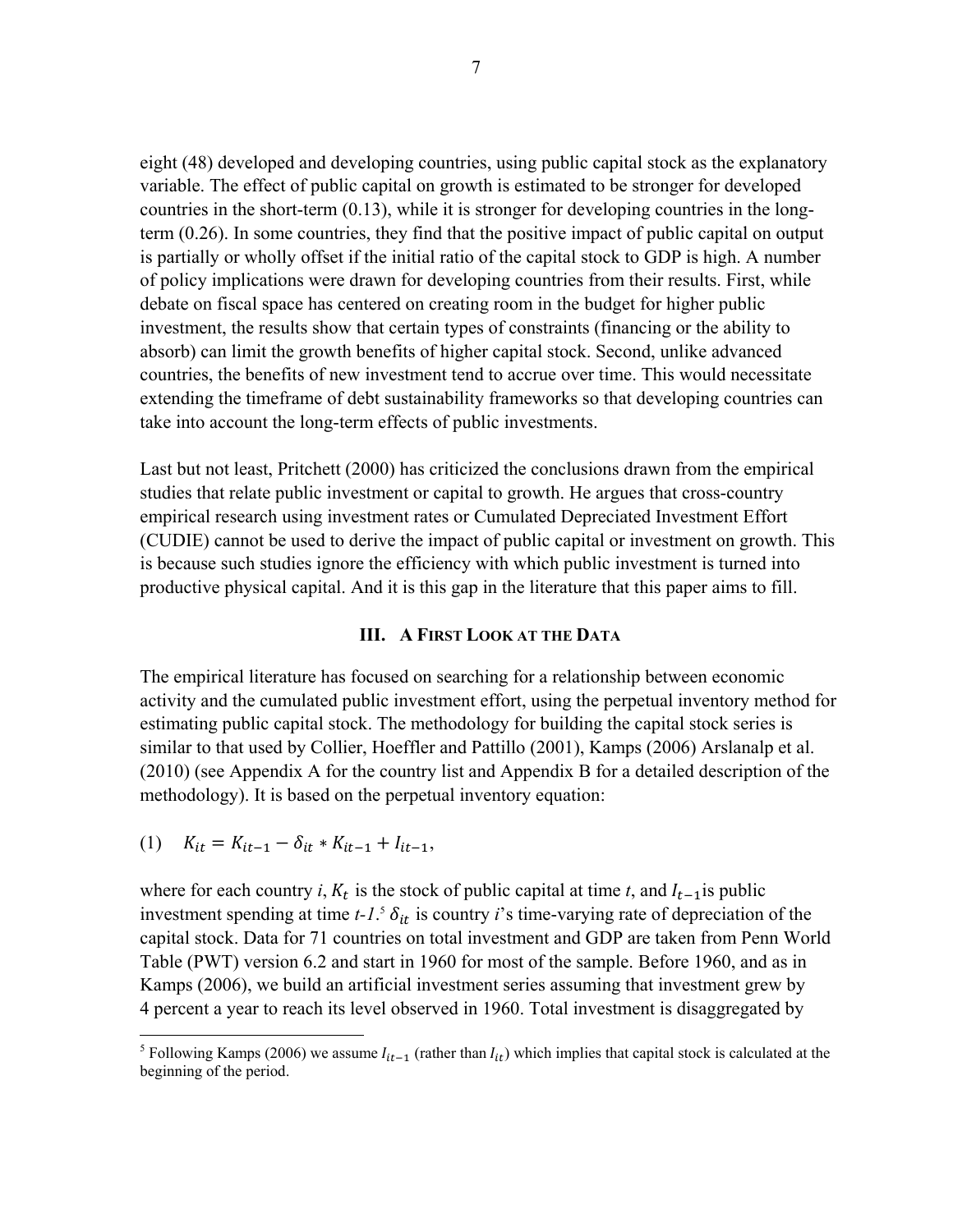eight (48) developed and developing countries, using public capital stock as the explanatory variable. The effect of public capital on growth is estimated to be stronger for developed countries in the short-term (0.13), while it is stronger for developing countries in the longterm (0.26). In some countries, they find that the positive impact of public capital on output is partially or wholly offset if the initial ratio of the capital stock to GDP is high. A number of policy implications were drawn for developing countries from their results. First, while debate on fiscal space has centered on creating room in the budget for higher public investment, the results show that certain types of constraints (financing or the ability to absorb) can limit the growth benefits of higher capital stock. Second, unlike advanced countries, the benefits of new investment tend to accrue over time. This would necessitate extending the timeframe of debt sustainability frameworks so that developing countries can take into account the long-term effects of public investments.

Last but not least, Pritchett (2000) has criticized the conclusions drawn from the empirical studies that relate public investment or capital to growth. He argues that cross-country empirical research using investment rates or Cumulated Depreciated Investment Effort (CUDIE) cannot be used to derive the impact of public capital or investment on growth. This is because such studies ignore the efficiency with which public investment is turned into productive physical capital. And it is this gap in the literature that this paper aims to fill.

#### **III. A FIRST LOOK AT THE DATA**

The empirical literature has focused on searching for a relationship between economic activity and the cumulated public investment effort, using the perpetual inventory method for estimating public capital stock. The methodology for building the capital stock series is similar to that used by Collier, Hoeffler and Pattillo (2001), Kamps (2006) Arslanalp et al. (2010) (see Appendix A for the country list and Appendix B for a detailed description of the methodology). It is based on the perpetual inventory equation:

(1)  $K_{it} = K_{it-1} - \delta_{it} * K_{it-1} + I_{it-1},$ 

 $\overline{a}$ 

where for each country *i*,  $K_t$  is the stock of public capital at time *t*, and  $I_{t-1}$  is public investment spending at time  $t - l$ <sup>5</sup>  $\delta_{it}$  is country *i*'s time-varying rate of depreciation of the capital stock. Data for 71 countries on total investment and GDP are taken from Penn World Table (PWT) version 6.2 and start in 1960 for most of the sample. Before 1960, and as in Kamps (2006), we build an artificial investment series assuming that investment grew by 4 percent a year to reach its level observed in 1960. Total investment is disaggregated by

<sup>&</sup>lt;sup>5</sup> Following Kamps (2006) we assume  $I_{it-1}$  (rather than  $I_{it}$ ) which implies that capital stock is calculated at the beginning of the period.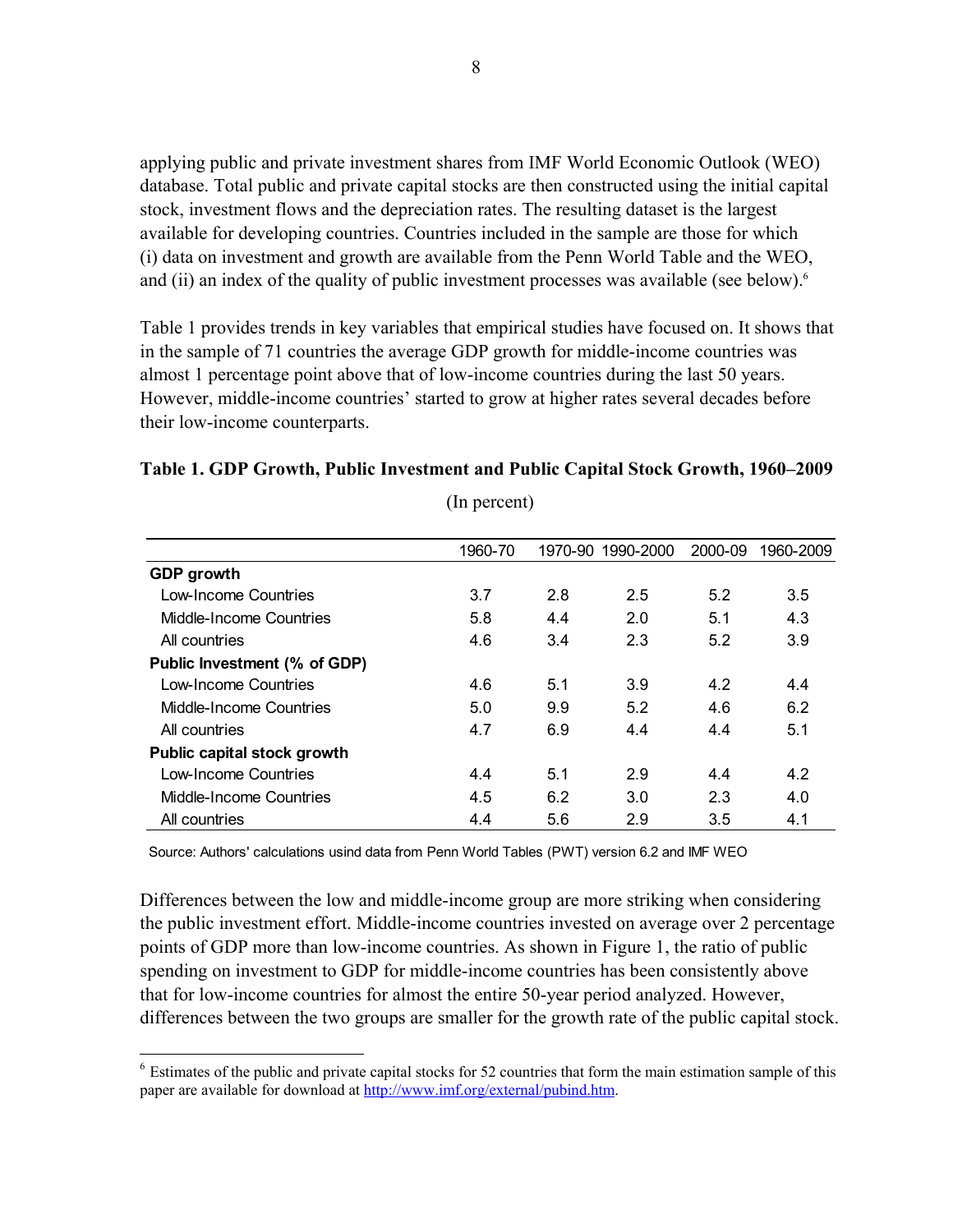applying public and private investment shares from IMF World Economic Outlook (WEO) database. Total public and private capital stocks are then constructed using the initial capital stock, investment flows and the depreciation rates. The resulting dataset is the largest available for developing countries. Countries included in the sample are those for which (i) data on investment and growth are available from the Penn World Table and the WEO, and (ii) an index of the quality of public investment processes was available (see below).<sup>6</sup>

Table 1 provides trends in key variables that empirical studies have focused on. It shows that in the sample of 71 countries the average GDP growth for middle-income countries was almost 1 percentage point above that of low-income countries during the last 50 years. However, middle-income countries' started to grow at higher rates several decades before their low-income counterparts.

#### **Table 1. GDP Growth, Public Investment and Public Capital Stock Growth, 1960–2009**

|                              | 1960-70 |     | 1970-90 1990-2000 | 2000-09 | 1960-2009 |
|------------------------------|---------|-----|-------------------|---------|-----------|
| <b>GDP</b> growth            |         |     |                   |         |           |
| Low-Income Countries         | 3.7     | 2.8 | 2.5               | 5.2     | 3.5       |
| Middle-Income Countries      | 5.8     | 4.4 | 2.0               | 5.1     | 4.3       |
| All countries                | 4.6     | 3.4 | 2.3               | 5.2     | 3.9       |
| Public Investment (% of GDP) |         |     |                   |         |           |
| Low-Income Countries         | 4.6     | 5.1 | 3.9               | 4.2     | 4.4       |
| Middle-Income Countries      | 5.0     | 9.9 | 5.2               | 4.6     | 6.2       |
| All countries                | 4.7     | 6.9 | 4.4               | 4.4     | 5.1       |
| Public capital stock growth  |         |     |                   |         |           |
| Low-Income Countries         | 4.4     | 5.1 | 2.9               | 4.4     | 4.2       |
| Middle-Income Countries      | 4.5     | 6.2 | 3.0               | 2.3     | 4.0       |
| All countries                | 4.4     | 5.6 | 2.9               | 3.5     | 4.1       |

(In percent)

Source: Authors' calculations usind data from Penn World Tables (PWT) version 6.2 and IMF WEO

1

Differences between the low and middle-income group are more striking when considering the public investment effort. Middle-income countries invested on average over 2 percentage points of GDP more than low-income countries. As shown in Figure 1, the ratio of public spending on investment to GDP for middle-income countries has been consistently above that for low-income countries for almost the entire 50-year period analyzed. However, differences between the two groups are smaller for the growth rate of the public capital stock.

<sup>&</sup>lt;sup>6</sup> Estimates of the public and private capital stocks for 52 countries that form the main estimation sample of this paper are available for download at http://www.imf.org/external/pubind.htm.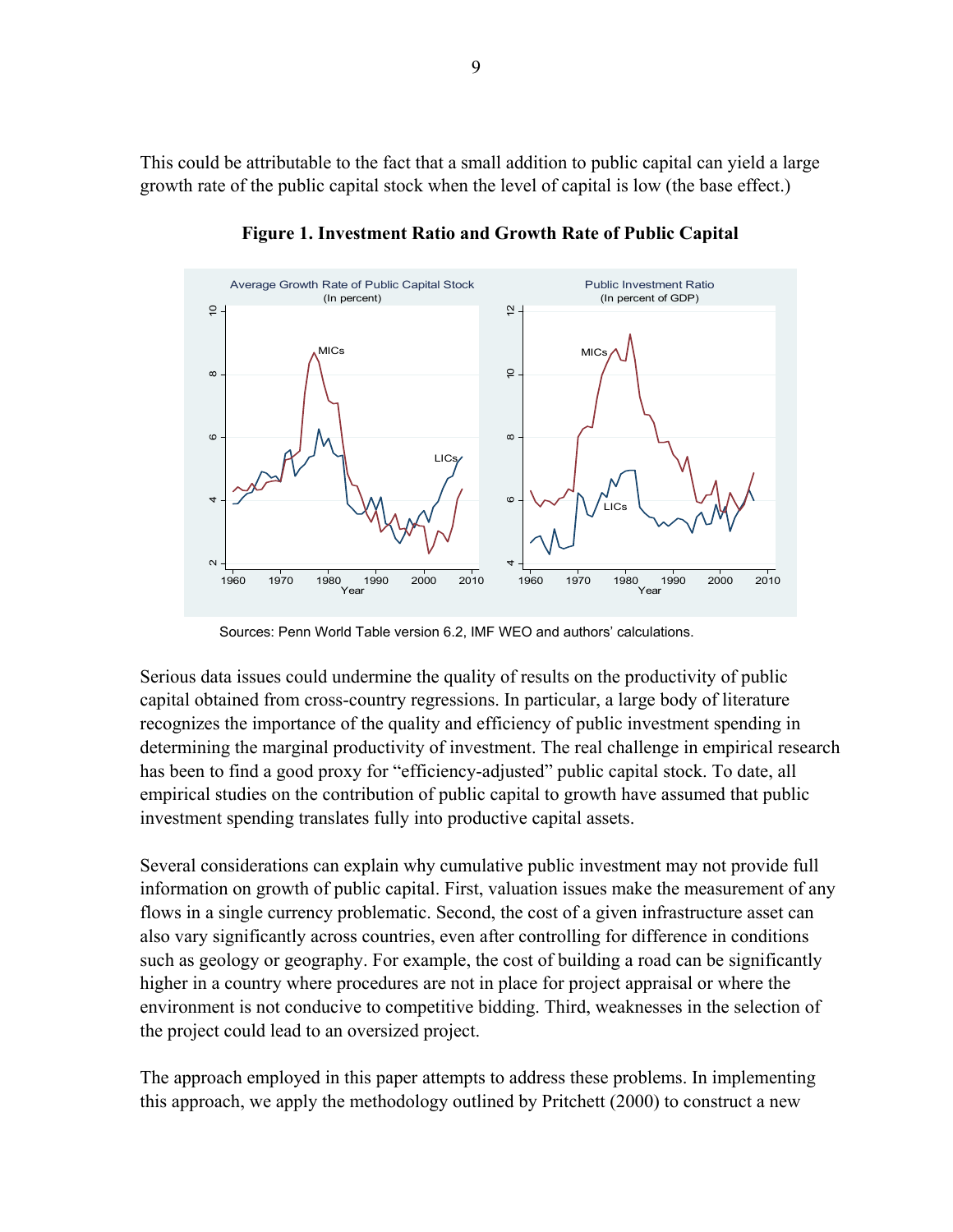This could be attributable to the fact that a small addition to public capital can yield a large growth rate of the public capital stock when the level of capital is low (the base effect.)



**Figure 1. Investment Ratio and Growth Rate of Public Capital** 

Sources: Penn World Table version 6.2, IMF WEO and authors' calculations.

Serious data issues could undermine the quality of results on the productivity of public capital obtained from cross-country regressions. In particular, a large body of literature recognizes the importance of the quality and efficiency of public investment spending in determining the marginal productivity of investment. The real challenge in empirical research has been to find a good proxy for "efficiency-adjusted" public capital stock. To date, all empirical studies on the contribution of public capital to growth have assumed that public investment spending translates fully into productive capital assets.

Several considerations can explain why cumulative public investment may not provide full information on growth of public capital. First, valuation issues make the measurement of any flows in a single currency problematic. Second, the cost of a given infrastructure asset can also vary significantly across countries, even after controlling for difference in conditions such as geology or geography. For example, the cost of building a road can be significantly higher in a country where procedures are not in place for project appraisal or where the environment is not conducive to competitive bidding. Third, weaknesses in the selection of the project could lead to an oversized project.

The approach employed in this paper attempts to address these problems. In implementing this approach, we apply the methodology outlined by Pritchett (2000) to construct a new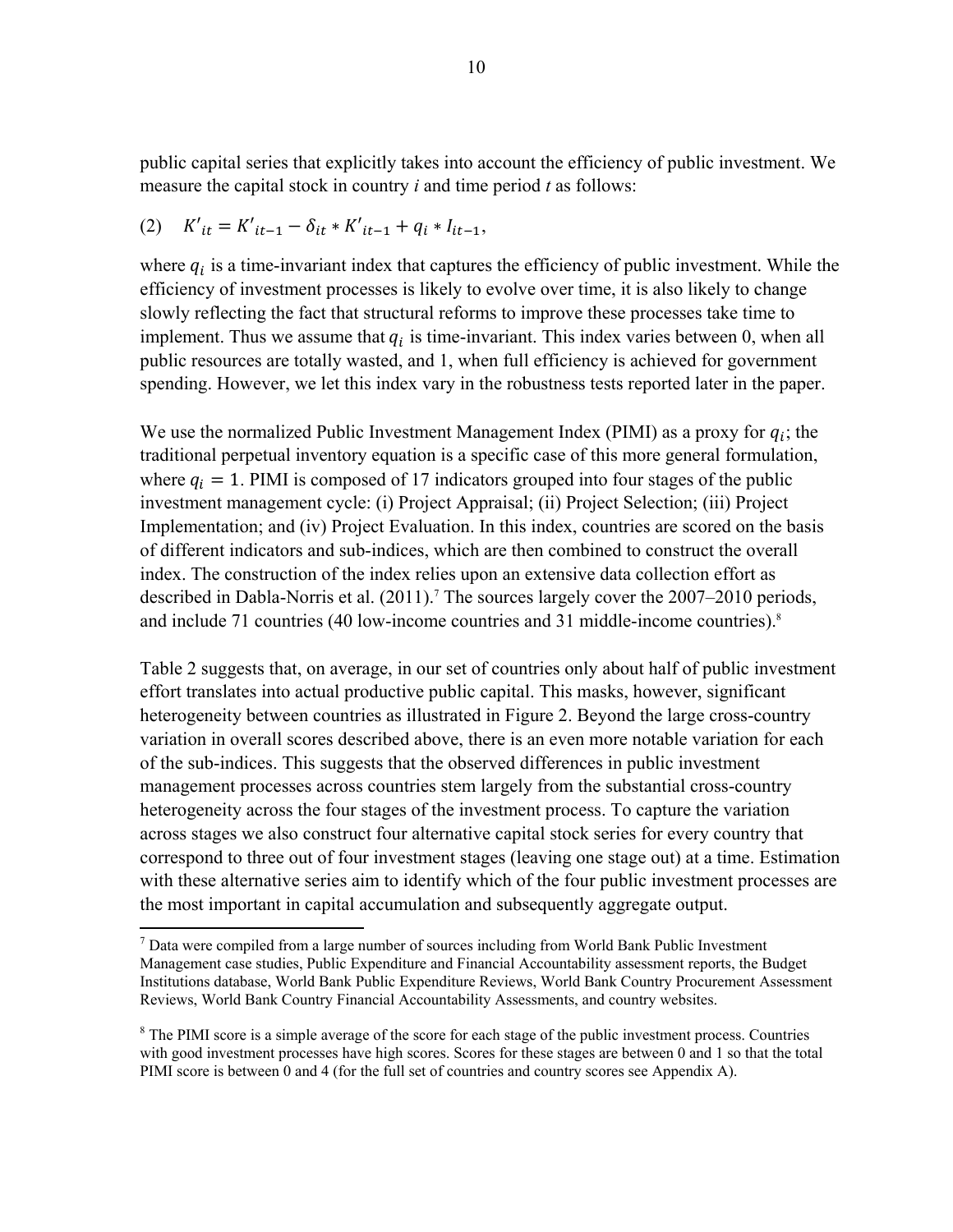public capital series that explicitly takes into account the efficiency of public investment. We measure the capital stock in country *i* and time period *t* as follows:

(2) 
$$
K'_{it} = K'_{it-1} - \delta_{it} * K'_{it-1} + q_i * I_{it-1},
$$

 $\overline{a}$ 

where  $q_i$  is a time-invariant index that captures the efficiency of public investment. While the efficiency of investment processes is likely to evolve over time, it is also likely to change slowly reflecting the fact that structural reforms to improve these processes take time to implement. Thus we assume that  $q_i$  is time-invariant. This index varies between 0, when all public resources are totally wasted, and 1, when full efficiency is achieved for government spending. However, we let this index vary in the robustness tests reported later in the paper.

We use the normalized Public Investment Management Index (PIMI) as a proxy for  $q_i$ ; the traditional perpetual inventory equation is a specific case of this more general formulation, where  $q_i = 1$ . PIMI is composed of 17 indicators grouped into four stages of the public investment management cycle: (i) Project Appraisal; (ii) Project Selection; (iii) Project Implementation; and (iv) Project Evaluation. In this index, countries are scored on the basis of different indicators and sub-indices, which are then combined to construct the overall index. The construction of the index relies upon an extensive data collection effort as described in Dabla-Norris et al. (2011).<sup>7</sup> The sources largely cover the 2007–2010 periods, and include 71 countries (40 low-income countries and 31 middle-income countries).<sup>8</sup>

Table 2 suggests that, on average, in our set of countries only about half of public investment effort translates into actual productive public capital. This masks, however, significant heterogeneity between countries as illustrated in Figure 2. Beyond the large cross-country variation in overall scores described above, there is an even more notable variation for each of the sub-indices. This suggests that the observed differences in public investment management processes across countries stem largely from the substantial cross-country heterogeneity across the four stages of the investment process. To capture the variation across stages we also construct four alternative capital stock series for every country that correspond to three out of four investment stages (leaving one stage out) at a time. Estimation with these alternative series aim to identify which of the four public investment processes are the most important in capital accumulation and subsequently aggregate output.

 $<sup>7</sup>$  Data were compiled from a large number of sources including from World Bank Public Investment</sup> Management case studies, Public Expenditure and Financial Accountability assessment reports, the Budget Institutions database, World Bank Public Expenditure Reviews, World Bank Country Procurement Assessment Reviews, World Bank Country Financial Accountability Assessments, and country websites.

<sup>&</sup>lt;sup>8</sup> The PIMI score is a simple average of the score for each stage of the public investment process. Countries with good investment processes have high scores. Scores for these stages are between 0 and 1 so that the total PIMI score is between 0 and 4 (for the full set of countries and country scores see Appendix A).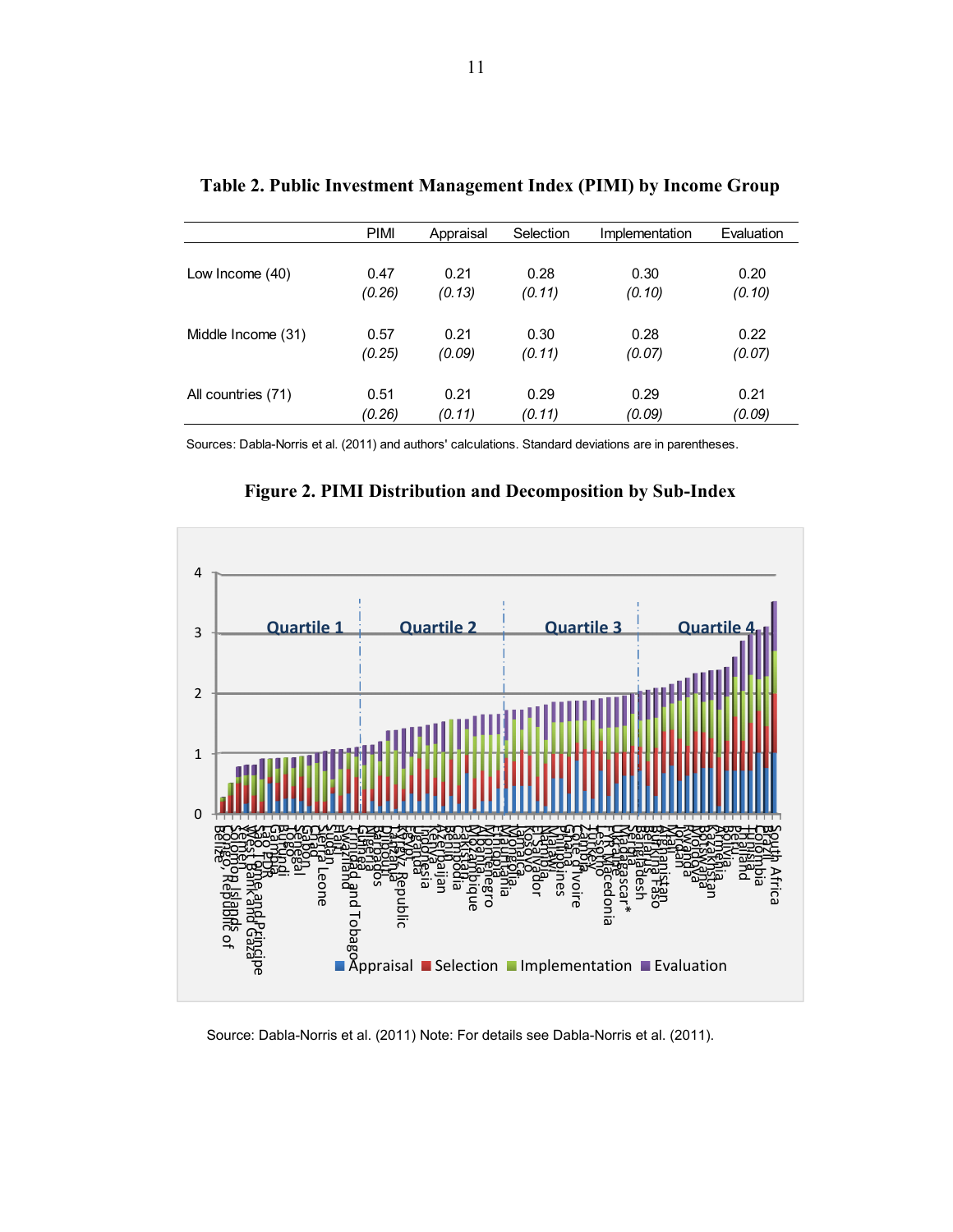|                    | <b>PIMI</b> | Appraisal | Selection | Implementation | Evaluation |
|--------------------|-------------|-----------|-----------|----------------|------------|
|                    |             |           |           |                |            |
| Low Income (40)    | 0.47        | 0.21      | 0.28      | 0.30           | 0.20       |
|                    | (0.26)      | (0.13)    | (0.11)    | (0.10)         | (0.10)     |
|                    |             |           |           |                |            |
| Middle Income (31) | 0.57        | 0.21      | 0.30      | 0.28           | 0.22       |
|                    | (0.25)      | (0.09)    | (0.11)    | (0.07)         | (0.07)     |
| All countries (71) | 0.51        | 0.21      | 0.29      | 0.29           | 0.21       |
|                    |             |           |           |                |            |
|                    | (0.26)      | (0.11)    | (0.11)    | (0.09)         | (0.09)     |

**Table 2. Public Investment Management Index (PIMI) by Income Group** 

Sources: Dabla-Norris et al. (2011) and authors' calculations. Standard deviations are in parentheses.



**Figure 2. PIMI Distribution and Decomposition by Sub-Index** 

Source: Dabla-Norris et al. (2011) Note: For details see Dabla-Norris et al. (2011).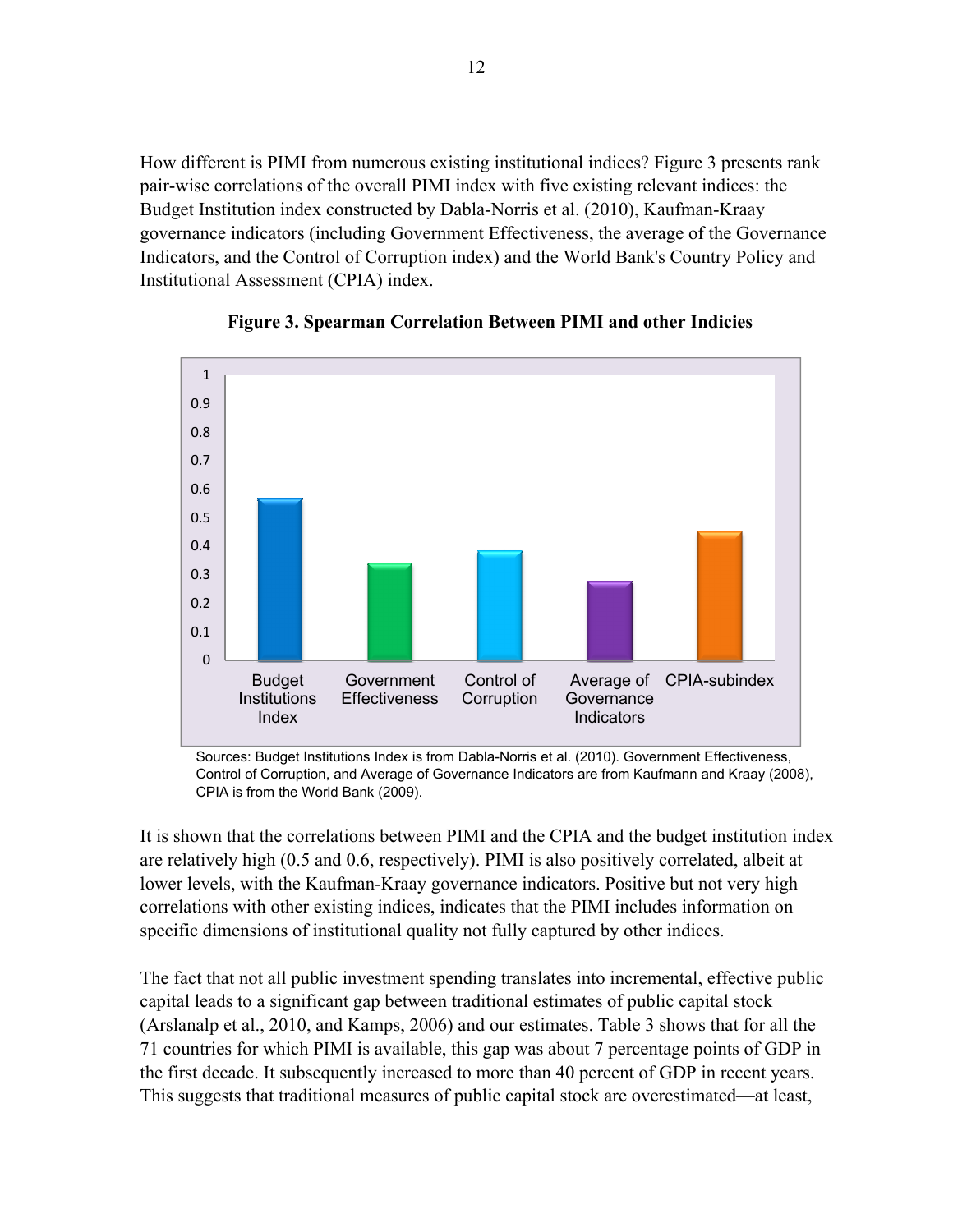How different is PIMI from numerous existing institutional indices? Figure 3 presents rank pair-wise correlations of the overall PIMI index with five existing relevant indices: the Budget Institution index constructed by Dabla-Norris et al. (2010), Kaufman-Kraay governance indicators (including Government Effectiveness, the average of the Governance Indicators, and the Control of Corruption index) and the World Bank's Country Policy and Institutional Assessment (CPIA) index.



**Figure 3. Spearman Correlation Between PIMI and other Indicies** 

Sources: Budget Institutions Index is from Dabla-Norris et al. (2010). Government Effectiveness, Control of Corruption, and Average of Governance Indicators are from Kaufmann and Kraay (2008), CPIA is from the World Bank (2009).

It is shown that the correlations between PIMI and the CPIA and the budget institution index are relatively high (0.5 and 0.6, respectively). PIMI is also positively correlated, albeit at lower levels, with the Kaufman-Kraay governance indicators. Positive but not very high correlations with other existing indices, indicates that the PIMI includes information on specific dimensions of institutional quality not fully captured by other indices.

The fact that not all public investment spending translates into incremental, effective public capital leads to a significant gap between traditional estimates of public capital stock (Arslanalp et al., 2010, and Kamps, 2006) and our estimates. Table 3 shows that for all the 71 countries for which PIMI is available, this gap was about 7 percentage points of GDP in the first decade. It subsequently increased to more than 40 percent of GDP in recent years. This suggests that traditional measures of public capital stock are overestimated—at least,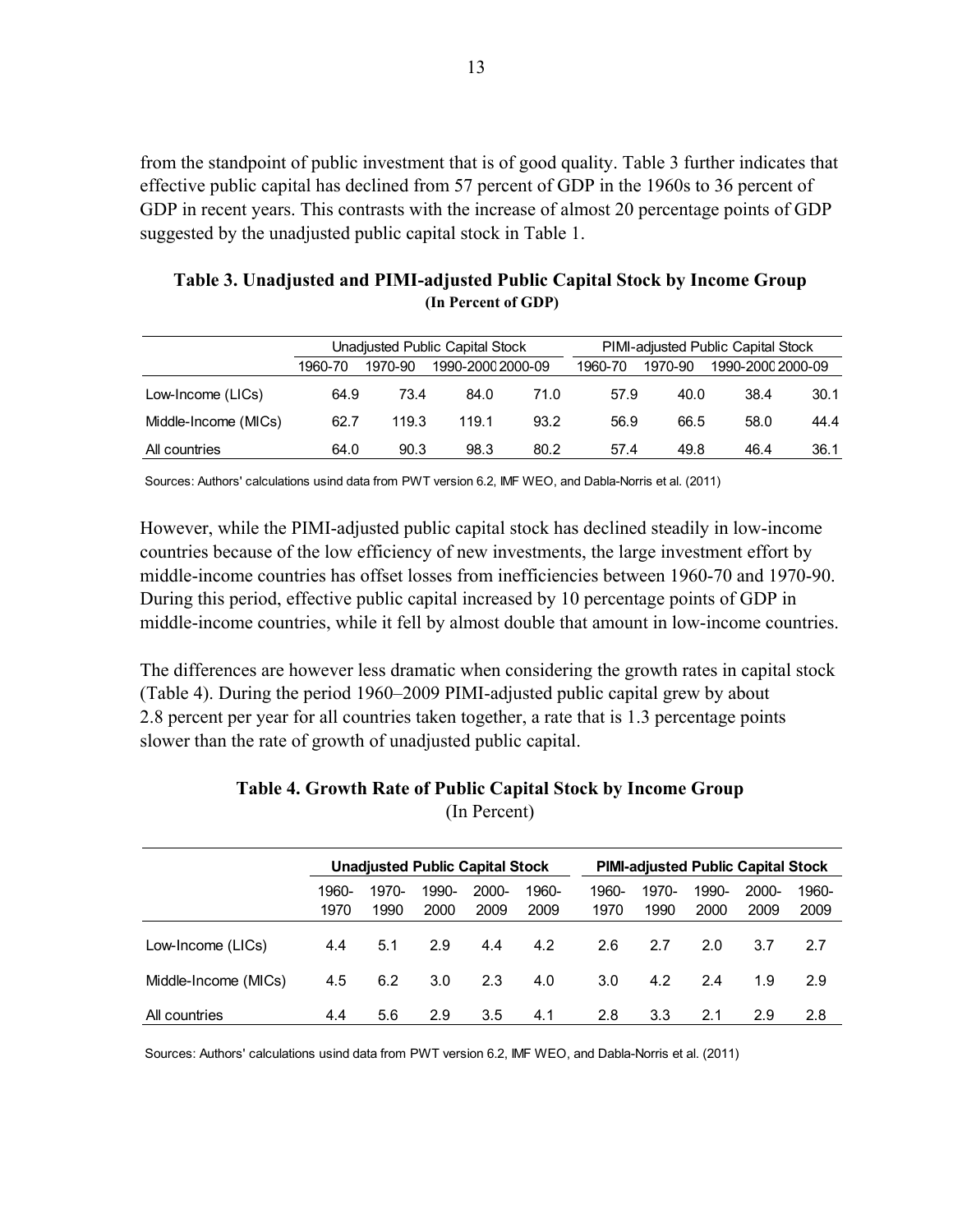from the standpoint of public investment that is of good quality. Table 3 further indicates that effective public capital has declined from 57 percent of GDP in the 1960s to 36 percent of GDP in recent years. This contrasts with the increase of almost 20 percentage points of GDP suggested by the unadjusted public capital stock in Table 1.

| Table 3. Unadjusted and PIMI-adjusted Public Capital Stock by Income Group |
|----------------------------------------------------------------------------|
| (In Percent of GDP)                                                        |

|                      |         |         | Unadjusted Public Capital Stock |      |         |         | PIMI-adjusted Public Capital Stock |      |
|----------------------|---------|---------|---------------------------------|------|---------|---------|------------------------------------|------|
|                      | 1960-70 | 1970-90 | 1990-2000 2000-09               |      | 1960-70 | 1970-90 | 1990-2000 2000-09                  |      |
| Low-Income (LICs)    | 64.9    | 73.4    | 84.0                            | 71.0 | 57.9    | 40.0    | 38.4                               | 30.1 |
| Middle-Income (MICs) | 62.7    | 119.3   | 119.1                           | 93.2 | 56.9    | 66.5    | 58.0                               | 44.4 |
| All countries        | 64.0    | 90.3    | 98.3                            | 80.2 | 57.4    | 49.8    | 46.4                               | 36.1 |

Sources: Authors' calculations usind data from PWT version 6.2, IMF WEO, and Dabla-Norris et al. (2011)

However, while the PIMI-adjusted public capital stock has declined steadily in low-income countries because of the low efficiency of new investments, the large investment effort by middle-income countries has offset losses from inefficiencies between 1960-70 and 1970-90. During this period, effective public capital increased by 10 percentage points of GDP in middle-income countries, while it fell by almost double that amount in low-income countries.

The differences are however less dramatic when considering the growth rates in capital stock (Table 4). During the period 1960–2009 PIMI-adjusted public capital grew by about 2.8 percent per year for all countries taken together, a rate that is 1.3 percentage points slower than the rate of growth of unadjusted public capital.

| (In Percent)         |               |               |               |                                        |               |               |               |               |                                           |               |
|----------------------|---------------|---------------|---------------|----------------------------------------|---------------|---------------|---------------|---------------|-------------------------------------------|---------------|
|                      |               |               |               | <b>Unadjusted Public Capital Stock</b> |               |               |               |               | <b>PIMI-adjusted Public Capital Stock</b> |               |
|                      | 1960-<br>1970 | 1970-<br>1990 | 1990-<br>2000 | 2000-<br>2009                          | 1960-<br>2009 | 1960-<br>1970 | 1970-<br>1990 | 1990-<br>2000 | $2000 -$<br>2009                          | 1960-<br>2009 |
| Low-Income (LICs)    | 4.4           | 5.1           | 2.9           | 4.4                                    | 4.2           | 2.6           | 2.7           | 2.0           | 3.7                                       | 2.7           |
| Middle-Income (MICs) | 4.5           | 6.2           | 3.0           | 2.3                                    | 4.0           | 3.0           | 4.2           | 2.4           | 1.9                                       | 2.9           |
| All countries        | 4.4           | 5.6           | 2.9           | 3.5                                    | 4.1           | 2.8           | 3.3           | 2.1           | 2.9                                       | 2.8           |

# **Table 4. Growth Rate of Public Capital Stock by Income Group**

Sources: Authors' calculations usind data from PWT version 6.2, IMF WEO, and Dabla-Norris et al. (2011)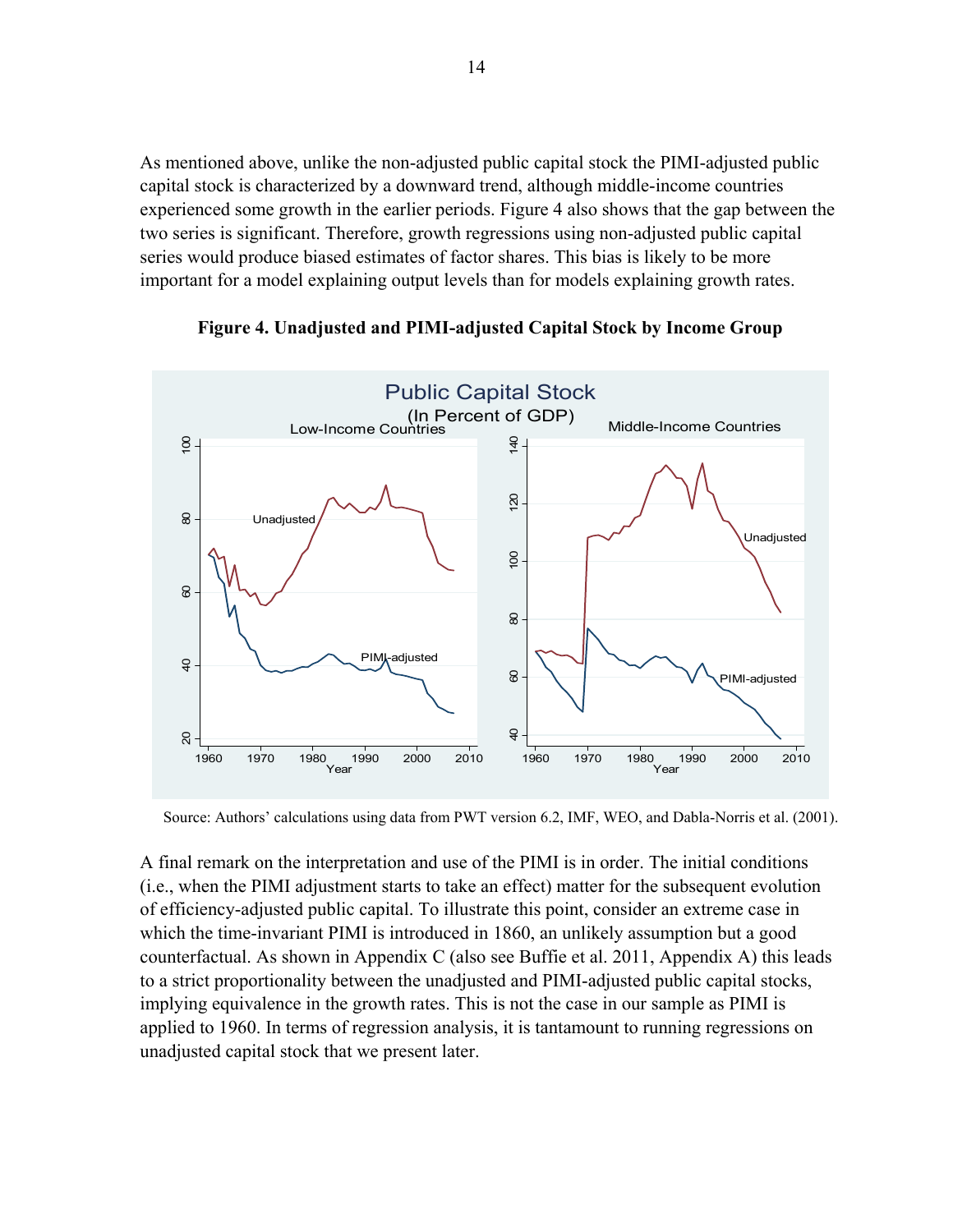As mentioned above, unlike the non-adjusted public capital stock the PIMI-adjusted public capital stock is characterized by a downward trend, although middle-income countries experienced some growth in the earlier periods. Figure 4 also shows that the gap between the two series is significant. Therefore, growth regressions using non-adjusted public capital series would produce biased estimates of factor shares. This bias is likely to be more important for a model explaining output levels than for models explaining growth rates.



**Figure 4. Unadjusted and PIMI-adjusted Capital Stock by Income Group** 

Source: Authors' calculations using data from PWT version 6.2, IMF, WEO, and Dabla-Norris et al. (2001).

A final remark on the interpretation and use of the PIMI is in order. The initial conditions (i.e., when the PIMI adjustment starts to take an effect) matter for the subsequent evolution of efficiency-adjusted public capital. To illustrate this point, consider an extreme case in which the time-invariant PIMI is introduced in 1860, an unlikely assumption but a good counterfactual. As shown in Appendix C (also see Buffie et al. 2011, Appendix A) this leads to a strict proportionality between the unadjusted and PIMI-adjusted public capital stocks, implying equivalence in the growth rates. This is not the case in our sample as PIMI is applied to 1960. In terms of regression analysis, it is tantamount to running regressions on unadjusted capital stock that we present later.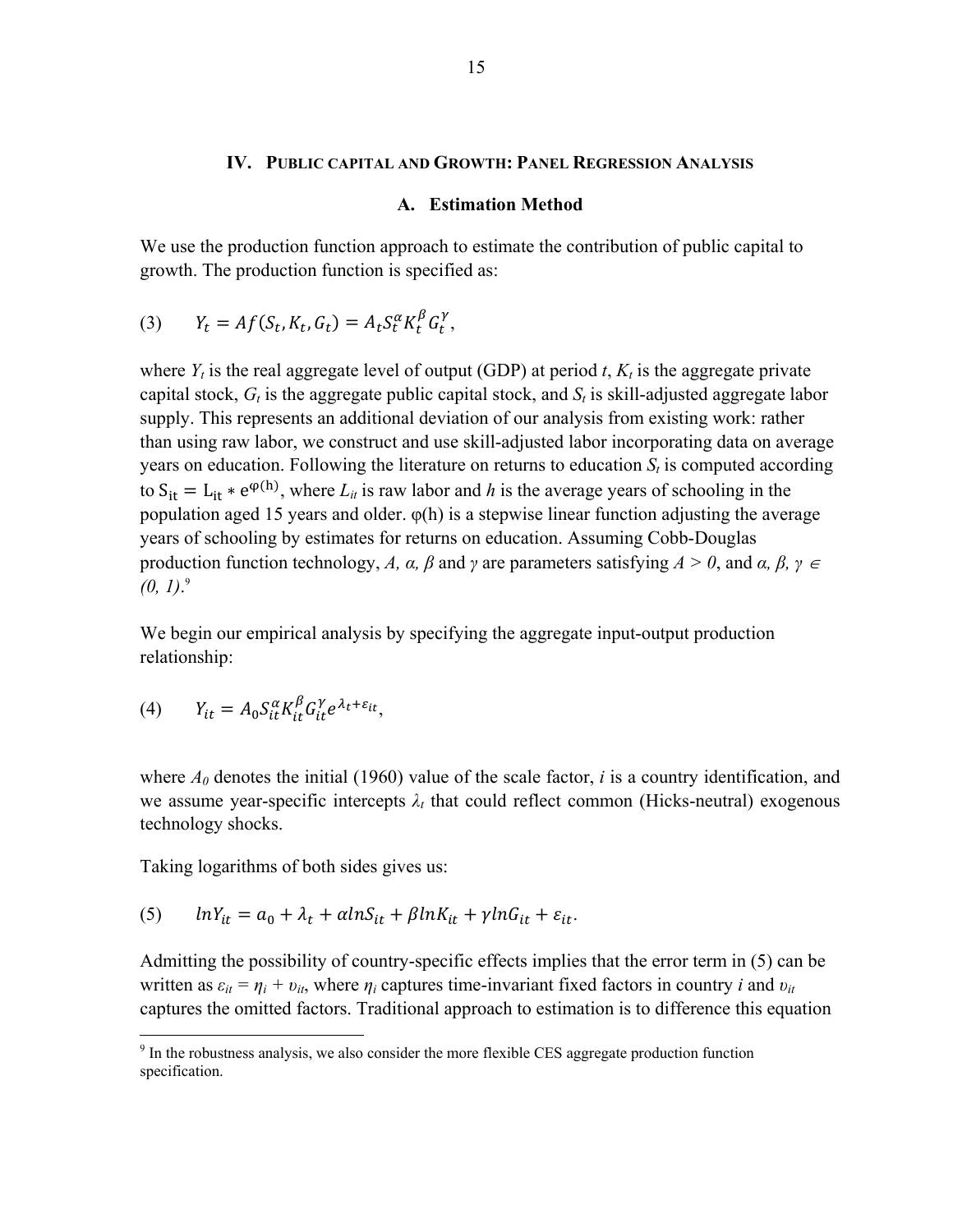#### **IV. PUBLIC CAPITAL AND GROWTH: PANEL REGRESSION ANALYSIS**

#### **A. Estimation Method**

We use the production function approach to estimate the contribution of public capital to growth. The production function is specified as:

(3) 
$$
Y_t = Af(S_t, K_t, G_t) = A_t S_t^{\alpha} K_t^{\beta} G_t^{\gamma},
$$

where  $Y_t$  is the real aggregate level of output (GDP) at period  $t$ ,  $K_t$  is the aggregate private capital stock,  $G_t$  is the aggregate public capital stock, and  $S_t$  is skill-adjusted aggregate labor supply. This represents an additional deviation of our analysis from existing work: rather than using raw labor, we construct and use skill-adjusted labor incorporating data on average years on education. Following the literature on returns to education  $S_t$  is computed according to  $S_{it} = L_{it} * e^{\varphi(h)}$ , where  $L_{it}$  is raw labor and *h* is the average years of schooling in the population aged 15 years and older.  $\varphi$ (h) is a stepwise linear function adjusting the average years of schooling by estimates for returns on education. Assuming Cobb-Douglas production function technology, *A,*  $\alpha$ *,*  $\beta$  and  $\gamma$  are parameters satisfying  $A > 0$ , and  $\alpha$ ,  $\beta$ ,  $\gamma \in$  $(0, 1)$ .<sup>9</sup>

We begin our empirical analysis by specifying the aggregate input-output production relationship:

$$
(4) \tY_{it} = A_0 S_{it}^{\alpha} K_{it}^{\beta} G_{it}^{\gamma} e^{\lambda_t + \varepsilon_{it}},
$$

where  $A_0$  denotes the initial (1960) value of the scale factor, *i* is a country identification, and we assume year-specific intercepts  $\lambda_t$  that could reflect common (Hicks-neutral) exogenous technology shocks.

Taking logarithms of both sides gives us:

$$
(5) \qquad lnY_{it} = a_0 + \lambda_t + \alpha lnS_{it} + \beta lnK_{it} + \gamma lnG_{it} + \varepsilon_{it}.
$$

Admitting the possibility of country-specific effects implies that the error term in (5) can be written as  $\varepsilon_{it} = \eta_i + v_{it}$ , where  $\eta_i$  captures time-invariant fixed factors in country *i* and  $v_{it}$ captures the omitted factors. Traditional approach to estimation is to difference this equation

<sup>&</sup>lt;sup>9</sup> In the robustness analysis, we also consider the more flexible CES aggregate production function specification.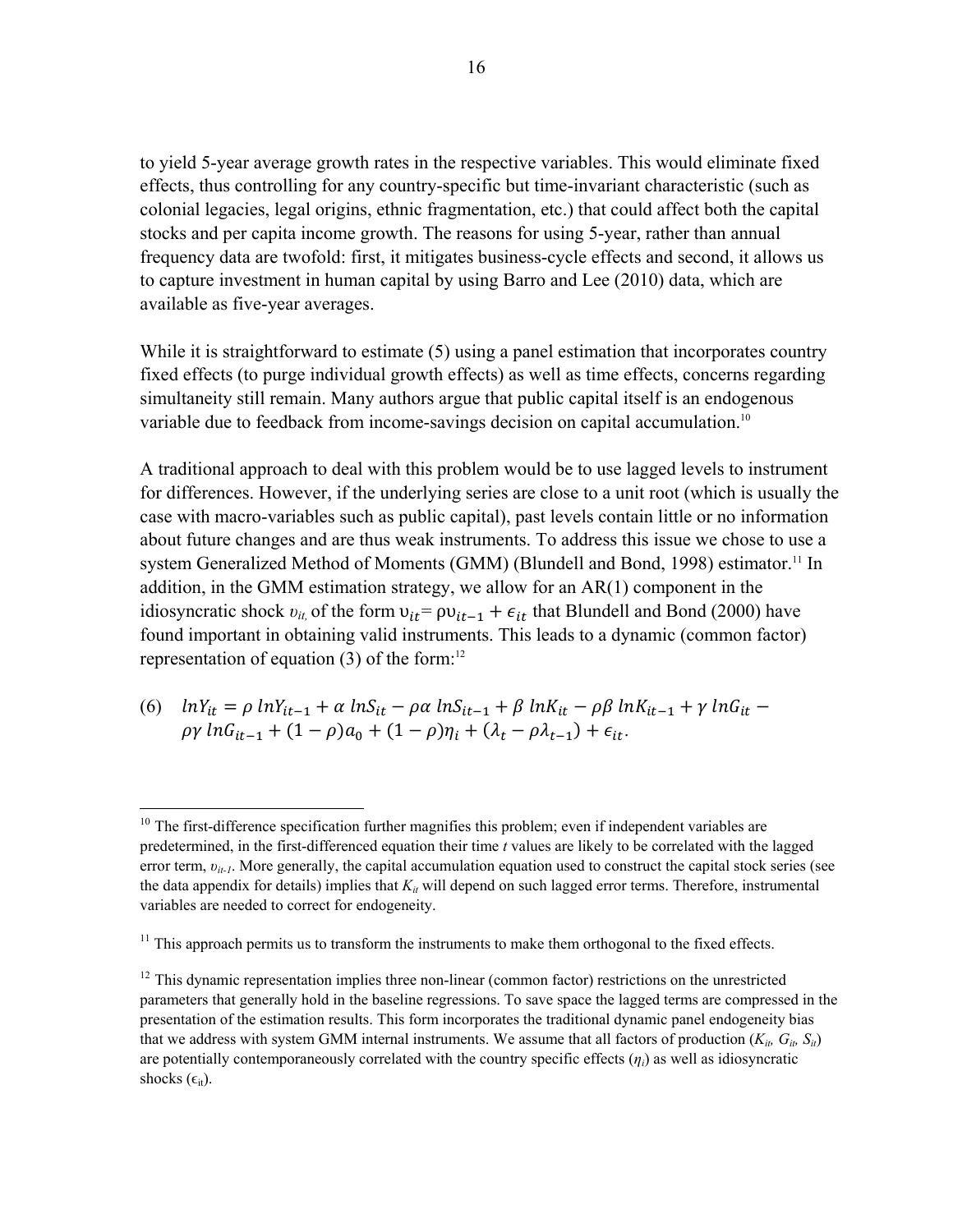to yield 5-year average growth rates in the respective variables. This would eliminate fixed effects, thus controlling for any country-specific but time-invariant characteristic (such as colonial legacies, legal origins, ethnic fragmentation, etc.) that could affect both the capital stocks and per capita income growth. The reasons for using 5-year, rather than annual frequency data are twofold: first, it mitigates business-cycle effects and second, it allows us to capture investment in human capital by using Barro and Lee (2010) data, which are available as five-year averages.

While it is straightforward to estimate (5) using a panel estimation that incorporates country fixed effects (to purge individual growth effects) as well as time effects, concerns regarding simultaneity still remain. Many authors argue that public capital itself is an endogenous variable due to feedback from income-savings decision on capital accumulation.<sup>10</sup>

A traditional approach to deal with this problem would be to use lagged levels to instrument for differences. However, if the underlying series are close to a unit root (which is usually the case with macro-variables such as public capital), past levels contain little or no information about future changes and are thus weak instruments. To address this issue we chose to use a system Generalized Method of Moments (GMM) (Blundell and Bond, 1998) estimator.<sup>11</sup> In addition, in the GMM estimation strategy, we allow for an AR(1) component in the idiosyncratic shock  $v_{it}$ , of the form  $v_{it} = \rho v_{it-1} + \epsilon_{it}$  that Blundell and Bond (2000) have found important in obtaining valid instruments. This leads to a dynamic (common factor) representation of equation  $(3)$  of the form:<sup>12</sup>

(6)  $lnY_{it} = \rho lnY_{it-1} + \alpha lnS_{it} - \rho \alpha lnS_{it-1} + \beta lnK_{it} - \rho \beta lnK_{it-1} + \gamma lnG_{it}$  $\rho \gamma \ln G_{it-1} + (1 - \rho) a_0 + (1 - \rho) \eta_i + (\lambda_t - \rho \lambda_{t-1}) + \epsilon_{it}.$ 

 $\overline{a}$ 

 $10$  The first-difference specification further magnifies this problem; even if independent variables are predetermined, in the first-differenced equation their time *t* values are likely to be correlated with the lagged error term, *υit-1*. More generally, the capital accumulation equation used to construct the capital stock series (see the data appendix for details) implies that  $K_{it}$  will depend on such lagged error terms. Therefore, instrumental variables are needed to correct for endogeneity.

 $11$  This approach permits us to transform the instruments to make them orthogonal to the fixed effects.

 $12$  This dynamic representation implies three non-linear (common factor) restrictions on the unrestricted parameters that generally hold in the baseline regressions. To save space the lagged terms are compressed in the presentation of the estimation results. This form incorporates the traditional dynamic panel endogeneity bias that we address with system GMM internal instruments. We assume that all factors of production  $(K_{i_t}, G_{i_t}, S_{i_t})$ are potentially contemporaneously correlated with the country specific effects (*ηi*) as well as idiosyncratic shocks  $(\epsilon_{it})$ .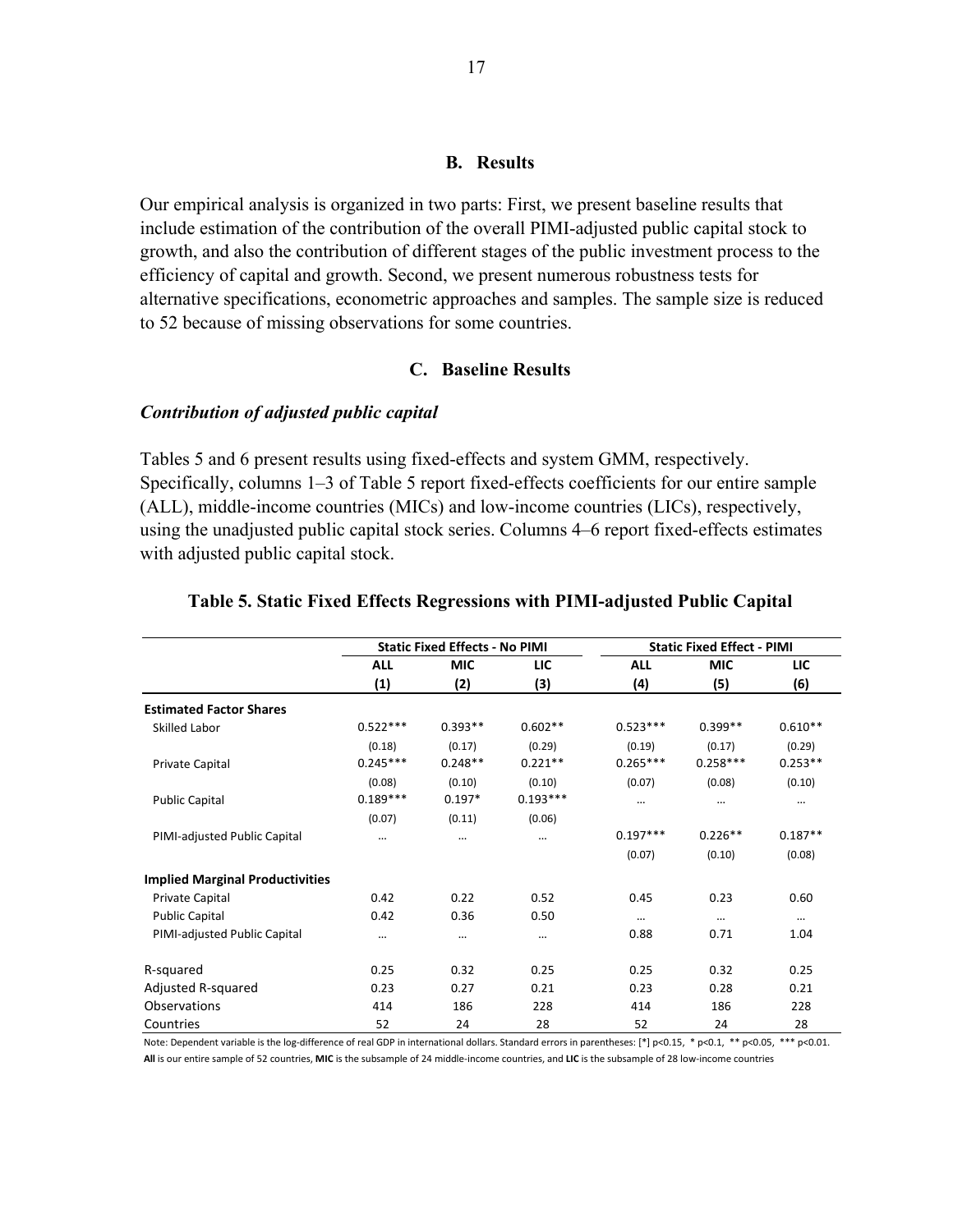#### **B. Results**

Our empirical analysis is organized in two parts: First, we present baseline results that include estimation of the contribution of the overall PIMI-adjusted public capital stock to growth, and also the contribution of different stages of the public investment process to the efficiency of capital and growth. Second, we present numerous robustness tests for alternative specifications, econometric approaches and samples. The sample size is reduced to 52 because of missing observations for some countries.

#### **C. Baseline Results**

#### *Contribution of adjusted public capital*

Tables 5 and 6 present results using fixed-effects and system GMM, respectively. Specifically, columns 1–3 of Table 5 report fixed-effects coefficients for our entire sample (ALL), middle-income countries (MICs) and low-income countries (LICs), respectively, using the unadjusted public capital stock series. Columns 4–6 report fixed-effects estimates with adjusted public capital stock.

|                                        |            | <b>Static Fixed Effects - No PIMI</b> |            | <b>Static Fixed Effect - PIMI</b> |            |           |  |
|----------------------------------------|------------|---------------------------------------|------------|-----------------------------------|------------|-----------|--|
|                                        | <b>ALL</b> | <b>MIC</b>                            | LIC        | <b>ALL</b>                        | <b>MIC</b> | LIC       |  |
|                                        | (1)        | (2)                                   | (3)        | (4)                               | (5)        | (6)       |  |
| <b>Estimated Factor Shares</b>         |            |                                       |            |                                   |            |           |  |
| Skilled Labor                          | $0.522***$ | $0.393**$                             | $0.602**$  | $0.523***$                        | $0.399**$  | $0.610**$ |  |
|                                        | (0.18)     | (0.17)                                | (0.29)     | (0.19)                            | (0.17)     | (0.29)    |  |
| Private Capital                        | $0.245***$ | $0.248**$                             | $0.221**$  | $0.265***$                        | $0.258***$ | $0.253**$ |  |
|                                        | (0.08)     | (0.10)                                | (0.10)     | (0.07)                            | (0.08)     | (0.10)    |  |
| <b>Public Capital</b>                  | $0.189***$ | $0.197*$                              | $0.193***$ | $\cdots$                          | $\cdots$   | $\cdots$  |  |
|                                        | (0.07)     | (0.11)                                | (0.06)     |                                   |            |           |  |
| PIMI-adjusted Public Capital           |            | $\cdots$                              |            | $0.197***$                        | $0.226**$  | $0.187**$ |  |
|                                        |            |                                       |            | (0.07)                            | (0.10)     | (0.08)    |  |
| <b>Implied Marginal Productivities</b> |            |                                       |            |                                   |            |           |  |
| Private Capital                        | 0.42       | 0.22                                  | 0.52       | 0.45                              | 0.23       | 0.60      |  |
| <b>Public Capital</b>                  | 0.42       | 0.36                                  | 0.50       | $\cdots$                          | $\cdots$   | $\cdots$  |  |
| PIMI-adjusted Public Capital           | $\cdots$   | $\cdots$                              | $\cdots$   | 0.88                              | 0.71       | 1.04      |  |
| R-squared                              | 0.25       | 0.32                                  | 0.25       | 0.25                              | 0.32       | 0.25      |  |
| Adjusted R-squared                     | 0.23       | 0.27                                  | 0.21       | 0.23                              | 0.28       | 0.21      |  |
| <b>Observations</b>                    | 414        | 186                                   | 228        | 414                               | 186        | 228       |  |
| Countries                              | 52         | 24                                    | 28         | 52                                | 24         | 28        |  |

#### **Table 5. Static Fixed Effects Regressions with PIMI-adjusted Public Capital**

Note: Dependent variable is the log-difference of real GDP in international dollars. Standard errors in parentheses: [\*] p<0.15, \* p<0.15, \*\* p<0.05, \*\*\* p<0.01. **All** is our entire sample of 52 countries, **MIC** is the subsample of 24 middle-income countries, and **LIC** is the subsample of 28 low-income countries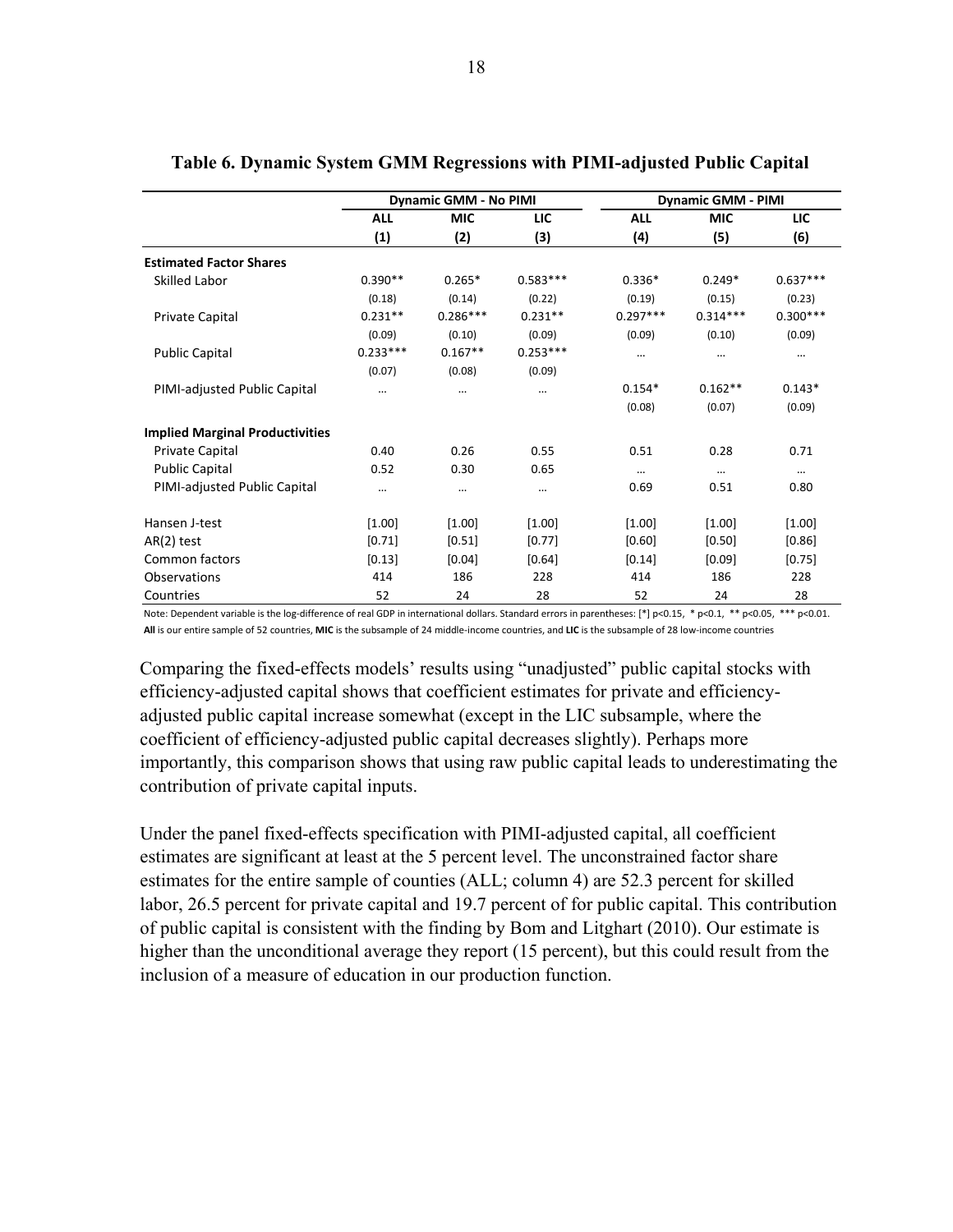|                                        |            | <b>Dynamic GMM - No PIMI</b> |            |            | <b>Dynamic GMM - PIMI</b> |            |
|----------------------------------------|------------|------------------------------|------------|------------|---------------------------|------------|
|                                        | <b>ALL</b> | <b>MIC</b>                   | LIC        | <b>ALL</b> | <b>MIC</b>                | LIC        |
|                                        | (1)        | (2)                          | (3)        | (4)        | (5)                       | (6)        |
| <b>Estimated Factor Shares</b>         |            |                              |            |            |                           |            |
| Skilled Labor                          | $0.390**$  | $0.265*$                     | $0.583***$ | $0.336*$   | $0.249*$                  | $0.637***$ |
|                                        | (0.18)     | (0.14)                       | (0.22)     | (0.19)     | (0.15)                    | (0.23)     |
| Private Capital                        | $0.231**$  | $0.286***$                   | $0.231**$  | $0.297***$ | $0.314***$                | $0.300***$ |
|                                        | (0.09)     | (0.10)                       | (0.09)     | (0.09)     | (0.10)                    | (0.09)     |
| <b>Public Capital</b>                  | $0.233***$ | $0.167**$                    | $0.253***$ |            |                           |            |
|                                        | (0.07)     | (0.08)                       | (0.09)     |            |                           |            |
| PIMI-adjusted Public Capital           |            |                              | $\cdots$   | $0.154*$   | $0.162**$                 | $0.143*$   |
|                                        |            |                              |            | (0.08)     | (0.07)                    | (0.09)     |
| <b>Implied Marginal Productivities</b> |            |                              |            |            |                           |            |
| Private Capital                        | 0.40       | 0.26                         | 0.55       | 0.51       | 0.28                      | 0.71       |
| <b>Public Capital</b>                  | 0.52       | 0.30                         | 0.65       | $\cdots$   |                           | $\cdots$   |
| PIMI-adjusted Public Capital           |            |                              |            | 0.69       | 0.51                      | 0.80       |
| Hansen J-test                          | [1.00]     | [1.00]                       | [1.00]     | [1.00]     | [1.00]                    | $[1.00]$   |
| $AR(2)$ test                           | [0.71]     | [0.51]                       | [0.77]     | [0.60]     | [0.50]                    | [0.86]     |
| Common factors                         | [0.13]     | [0.04]                       | [0.64]     | [0.14]     | [0.09]                    | [0.75]     |
| Observations                           | 414        | 186                          | 228        | 414        | 186                       | 228        |
| Countries                              | 52         | 24                           | 28         | 52         | 24                        | 28         |

#### **Table 6. Dynamic System GMM Regressions with PIMI-adjusted Public Capital**

Note: Dependent variable is the log-difference of real GDP in international dollars. Standard errors in parentheses: [\*] p<0.15, \* p<0.15, \*\* p<0.05, \*\*\* p<0.05, \*\*\* p<0.01. **All** is our entire sample of 52 countries, **MIC** is the subsample of 24 middle-income countries, and **LIC** is the subsample of 28 low-income countries

Comparing the fixed-effects models' results using "unadjusted" public capital stocks with efficiency-adjusted capital shows that coefficient estimates for private and efficiencyadjusted public capital increase somewhat (except in the LIC subsample, where the coefficient of efficiency-adjusted public capital decreases slightly). Perhaps more importantly, this comparison shows that using raw public capital leads to underestimating the contribution of private capital inputs.

Under the panel fixed-effects specification with PIMI-adjusted capital, all coefficient estimates are significant at least at the 5 percent level. The unconstrained factor share estimates for the entire sample of counties (ALL; column 4) are 52.3 percent for skilled labor, 26.5 percent for private capital and 19.7 percent of for public capital. This contribution of public capital is consistent with the finding by Bom and Litghart (2010). Our estimate is higher than the unconditional average they report (15 percent), but this could result from the inclusion of a measure of education in our production function.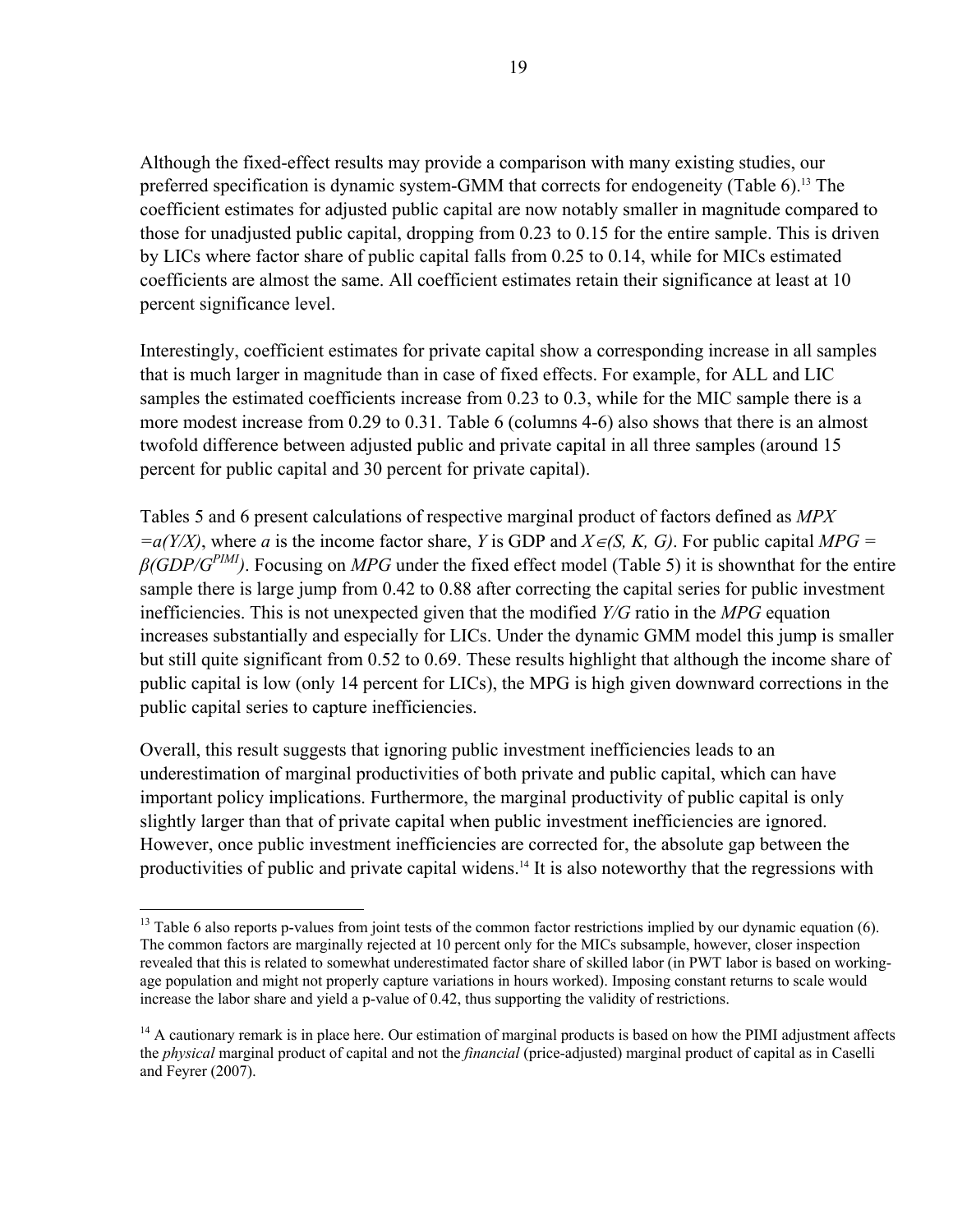Although the fixed-effect results may provide a comparison with many existing studies, our preferred specification is dynamic system-GMM that corrects for endogeneity (Table 6).<sup>13</sup> The coefficient estimates for adjusted public capital are now notably smaller in magnitude compared to those for unadjusted public capital, dropping from 0.23 to 0.15 for the entire sample. This is driven by LICs where factor share of public capital falls from 0.25 to 0.14, while for MICs estimated coefficients are almost the same. All coefficient estimates retain their significance at least at 10 percent significance level.

Interestingly, coefficient estimates for private capital show a corresponding increase in all samples that is much larger in magnitude than in case of fixed effects. For example, for ALL and LIC samples the estimated coefficients increase from 0.23 to 0.3, while for the MIC sample there is a more modest increase from 0.29 to 0.31. Table 6 (columns 4-6) also shows that there is an almost twofold difference between adjusted public and private capital in all three samples (around 15 percent for public capital and 30 percent for private capital).

Tables 5 and 6 present calculations of respective marginal product of factors defined as *MPX*   $=a(Y/X)$ , where *a* is the income factor share, *Y* is GDP and *X* $\in$ (*S, K, G*). For public capital *MPG* = *β(GDP/GPIMI)*. Focusing on *MPG* under the fixed effect model (Table 5) it is shownthat for the entire sample there is large jump from 0.42 to 0.88 after correcting the capital series for public investment inefficiencies. This is not unexpected given that the modified *Y/G* ratio in the *MPG* equation increases substantially and especially for LICs. Under the dynamic GMM model this jump is smaller but still quite significant from 0.52 to 0.69. These results highlight that although the income share of public capital is low (only 14 percent for LICs), the MPG is high given downward corrections in the public capital series to capture inefficiencies.

Overall, this result suggests that ignoring public investment inefficiencies leads to an underestimation of marginal productivities of both private and public capital, which can have important policy implications. Furthermore, the marginal productivity of public capital is only slightly larger than that of private capital when public investment inefficiencies are ignored. However, once public investment inefficiencies are corrected for, the absolute gap between the productivities of public and private capital widens.<sup>14</sup> It is also noteworthy that the regressions with

1

 $<sup>13</sup>$  Table 6 also reports p-values from joint tests of the common factor restrictions implied by our dynamic equation (6).</sup> The common factors are marginally rejected at 10 percent only for the MICs subsample, however, closer inspection revealed that this is related to somewhat underestimated factor share of skilled labor (in PWT labor is based on workingage population and might not properly capture variations in hours worked). Imposing constant returns to scale would increase the labor share and yield a p-value of 0.42, thus supporting the validity of restrictions.

 $<sup>14</sup>$  A cautionary remark is in place here. Our estimation of marginal products is based on how the PIMI adjustment affects</sup> the *physical* marginal product of capital and not the *financial* (price-adjusted) marginal product of capital as in Caselli and Feyrer (2007).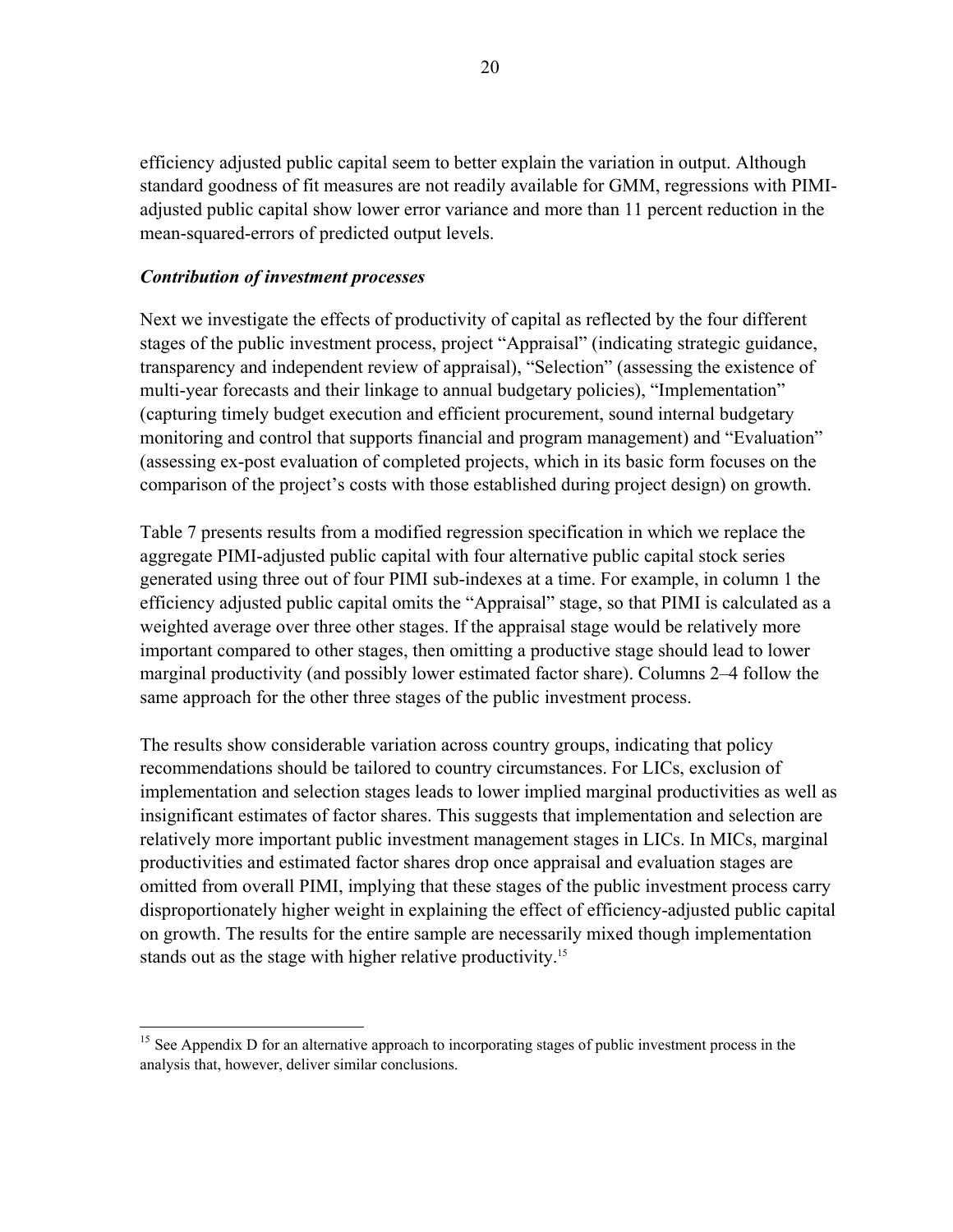efficiency adjusted public capital seem to better explain the variation in output. Although standard goodness of fit measures are not readily available for GMM, regressions with PIMIadjusted public capital show lower error variance and more than 11 percent reduction in the mean-squared-errors of predicted output levels.

#### *Contribution of investment processes*

 $\overline{a}$ 

Next we investigate the effects of productivity of capital as reflected by the four different stages of the public investment process, project "Appraisal" (indicating strategic guidance, transparency and independent review of appraisal), "Selection" (assessing the existence of multi-year forecasts and their linkage to annual budgetary policies), "Implementation" (capturing timely budget execution and efficient procurement, sound internal budgetary monitoring and control that supports financial and program management) and "Evaluation" (assessing ex-post evaluation of completed projects, which in its basic form focuses on the comparison of the project's costs with those established during project design) on growth.

Table 7 presents results from a modified regression specification in which we replace the aggregate PIMI-adjusted public capital with four alternative public capital stock series generated using three out of four PIMI sub-indexes at a time. For example, in column 1 the efficiency adjusted public capital omits the "Appraisal" stage, so that PIMI is calculated as a weighted average over three other stages. If the appraisal stage would be relatively more important compared to other stages, then omitting a productive stage should lead to lower marginal productivity (and possibly lower estimated factor share). Columns 2–4 follow the same approach for the other three stages of the public investment process.

The results show considerable variation across country groups, indicating that policy recommendations should be tailored to country circumstances. For LICs, exclusion of implementation and selection stages leads to lower implied marginal productivities as well as insignificant estimates of factor shares. This suggests that implementation and selection are relatively more important public investment management stages in LICs. In MICs, marginal productivities and estimated factor shares drop once appraisal and evaluation stages are omitted from overall PIMI, implying that these stages of the public investment process carry disproportionately higher weight in explaining the effect of efficiency-adjusted public capital on growth. The results for the entire sample are necessarily mixed though implementation stands out as the stage with higher relative productivity.<sup>15</sup>

<sup>&</sup>lt;sup>15</sup> See Appendix D for an alternative approach to incorporating stages of public investment process in the analysis that, however, deliver similar conclusions.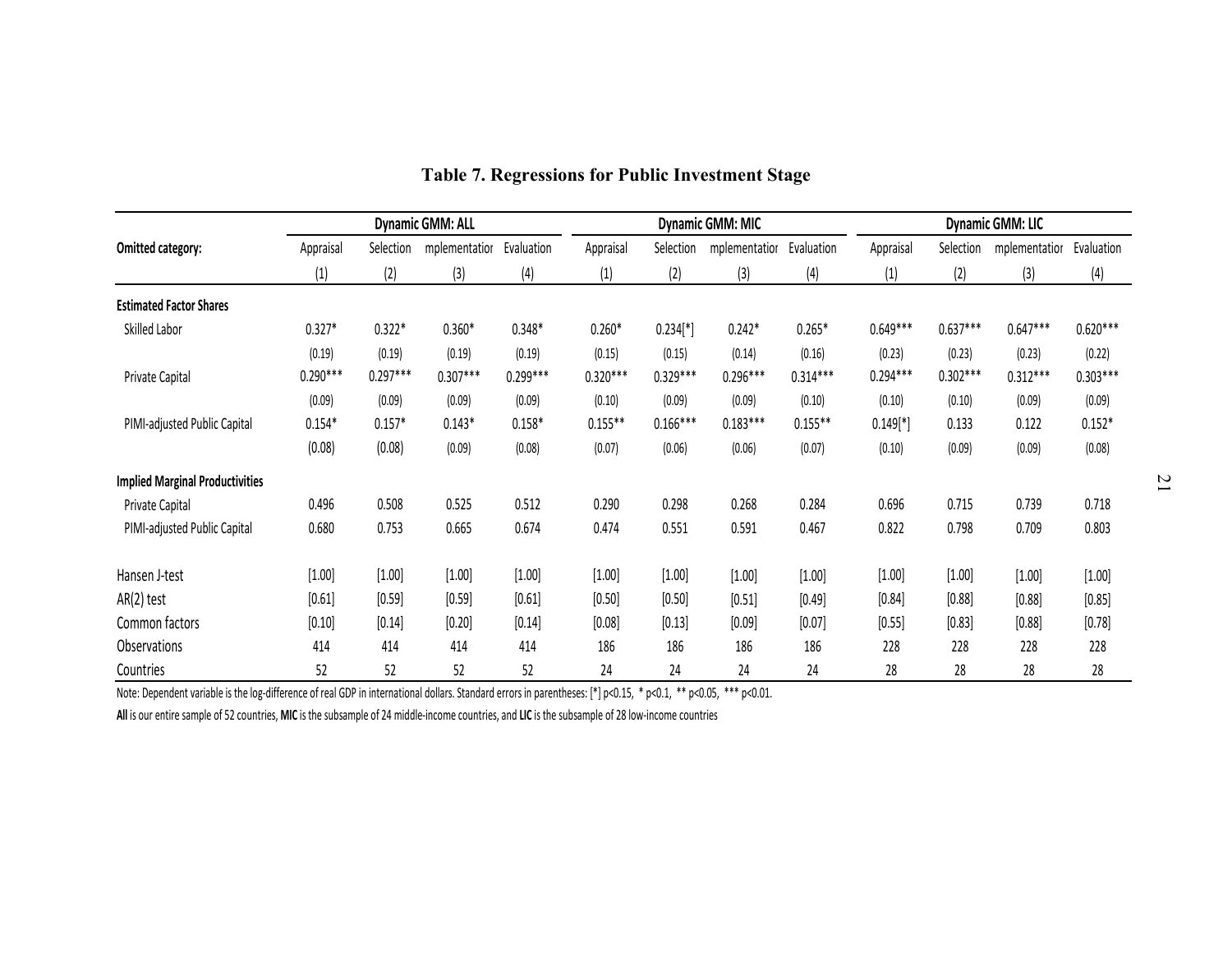| <b>Dynamic GMM: ALL</b>                |            |            |               | <b>Dynamic GMM: MIC</b> |            |             | <b>Dynamic GMM: LIC</b> |            |             |            |               |            |
|----------------------------------------|------------|------------|---------------|-------------------------|------------|-------------|-------------------------|------------|-------------|------------|---------------|------------|
| <b>Omitted category:</b>               | Appraisal  | Selection  | mplementation | Evaluation              | Appraisal  | Selection   | mplementatior           | Evaluation | Appraisal   | Selection  | mplementatior | Evaluation |
|                                        | (1)        | (2)        | (3)           | (4)                     | (1)        | (2)         | (3)                     | (4)        | (1)         | (2)        | (3)           | (4)        |
| <b>Estimated Factor Shares</b>         |            |            |               |                         |            |             |                         |            |             |            |               |            |
| Skilled Labor                          | $0.327*$   | $0.322*$   | $0.360*$      | $0.348*$                | $0.260*$   | $0.234[$ *] | $0.242*$                | $0.265*$   | $0.649***$  | $0.637***$ | $0.647***$    | $0.620***$ |
|                                        | (0.19)     | (0.19)     | (0.19)        | (0.19)                  | (0.15)     | (0.15)      | (0.14)                  | (0.16)     | (0.23)      | (0.23)     | (0.23)        | (0.22)     |
| Private Capital                        | $0.290***$ | $0.297***$ | $0.307***$    | $0.299***$              | $0.320***$ | $0.329***$  | $0.296***$              | $0.314***$ | $0.294***$  | $0.302***$ | $0.312***$    | $0.303***$ |
|                                        | (0.09)     | (0.09)     | (0.09)        | (0.09)                  | (0.10)     | (0.09)      | (0.09)                  | (0.10)     | (0.10)      | (0.10)     | (0.09)        | (0.09)     |
| PIMI-adjusted Public Capital           | $0.154*$   | $0.157*$   | $0.143*$      | $0.158*$                | $0.155**$  | $0.166***$  | $0.183***$              | $0.155**$  | $0.149[$ *] | 0.133      | 0.122         | $0.152*$   |
|                                        | (0.08)     | (0.08)     | (0.09)        | (0.08)                  | (0.07)     | (0.06)      | (0.06)                  | (0.07)     | (0.10)      | (0.09)     | (0.09)        | (0.08)     |
| <b>Implied Marginal Productivities</b> |            |            |               |                         |            |             |                         |            |             |            |               |            |
| Private Capital                        | 0.496      | 0.508      | 0.525         | 0.512                   | 0.290      | 0.298       | 0.268                   | 0.284      | 0.696       | 0.715      | 0.739         | 0.718      |
| PIMI-adjusted Public Capital           | 0.680      | 0.753      | 0.665         | 0.674                   | 0.474      | 0.551       | 0.591                   | 0.467      | 0.822       | 0.798      | 0.709         | 0.803      |
| Hansen J-test                          | $[1.00]$   | $[1.00]$   | $[1.00]$      | $[1.00]$                | $[1.00]$   | $[1.00]$    | $[1.00]$                | $[1.00]$   | $[1.00]$    | $[1.00]$   | $[1.00]$      | $[1.00]$   |
| $AR(2)$ test                           | [0.61]     | $[0.59]$   | $[0.59]$      | $[0.61]$                | [0.50]     | [0.50]      | $[0.51]$                | $[0.49]$   | $[0.84]$    | [0.88]     | [0.88]        | $[0.85]$   |
| Common factors                         | [0.10]     | $[0.14]$   | $[0.20]$      | $[0.14]$                | [0.08]     | $[0.13]$    | [0.09]                  | [0.07]     | $[0.55]$    | [0.83]     | [0.88]        | [0.78]     |
| Observations                           | 414        | 414        | 414           | 414                     | 186        | 186         | 186                     | 186        | 228         | 228        | 228           | 228        |
| Countries                              | 52         | 52         | 52            | 52                      | 24         | 24          | 24                      | 24         | 28          | 28         | 28            | 28         |

# **Table 7. Regressions for Public Investment Stage**

Note: Dependent variable is the log-difference of real GDP in international dollars. Standard errors in parentheses: [\*] p<0.15, \* p<0.1, \*\* p<0.05, \*\*\* p<0.01.

**All** is our entire sample of 52 countries, **MIC** is the subsample of 24 middle-income countries, and **LIC** is the subsample of 28 low-income countries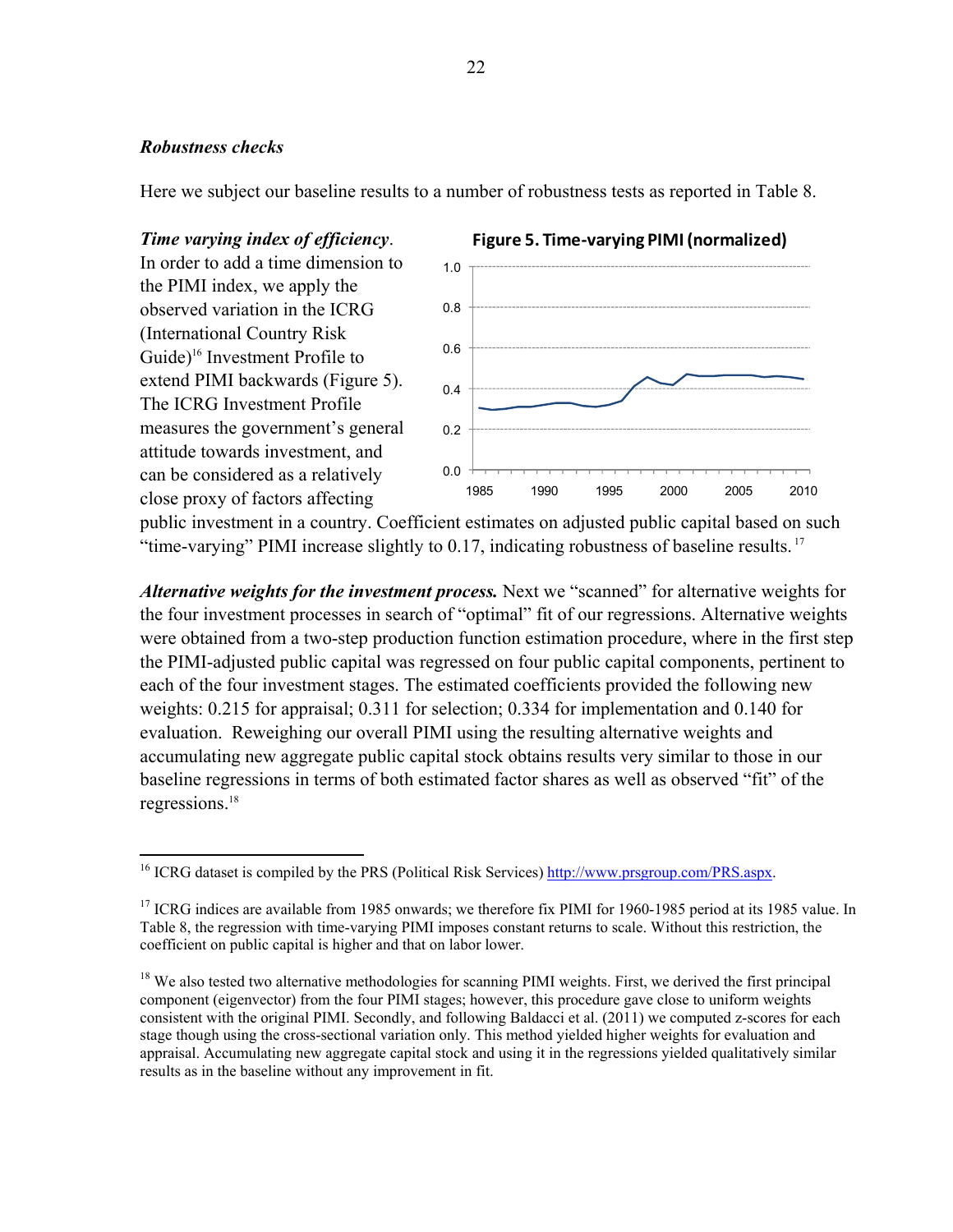#### *Robustness checks*

 $\overline{a}$ 

Here we subject our baseline results to a number of robustness tests as reported in Table 8.



public investment in a country. Coefficient estimates on adjusted public capital based on such "time-varying" PIMI increase slightly to 0.17, indicating robustness of baseline results. 17

*Alternative weights for the investment process.* Next we "scanned" for alternative weights for the four investment processes in search of "optimal" fit of our regressions. Alternative weights were obtained from a two-step production function estimation procedure, where in the first step the PIMI-adjusted public capital was regressed on four public capital components, pertinent to each of the four investment stages. The estimated coefficients provided the following new weights: 0.215 for appraisal; 0.311 for selection; 0.334 for implementation and 0.140 for evaluation. Reweighing our overall PIMI using the resulting alternative weights and accumulating new aggregate public capital stock obtains results very similar to those in our baseline regressions in terms of both estimated factor shares as well as observed "fit" of the regressions.<sup>18</sup>

<sup>&</sup>lt;sup>16</sup> ICRG dataset is compiled by the PRS (Political Risk Services) http://www.prsgroup.com/PRS.aspx.

<sup>&</sup>lt;sup>17</sup> ICRG indices are available from 1985 onwards; we therefore fix PIMI for 1960-1985 period at its 1985 value. In Table 8, the regression with time-varying PIMI imposes constant returns to scale. Without this restriction, the coefficient on public capital is higher and that on labor lower.

<sup>&</sup>lt;sup>18</sup> We also tested two alternative methodologies for scanning PIMI weights. First, we derived the first principal component (eigenvector) from the four PIMI stages; however, this procedure gave close to uniform weights consistent with the original PIMI. Secondly, and following Baldacci et al. (2011) we computed z-scores for each stage though using the cross-sectional variation only. This method yielded higher weights for evaluation and appraisal. Accumulating new aggregate capital stock and using it in the regressions yielded qualitatively similar results as in the baseline without any improvement in fit.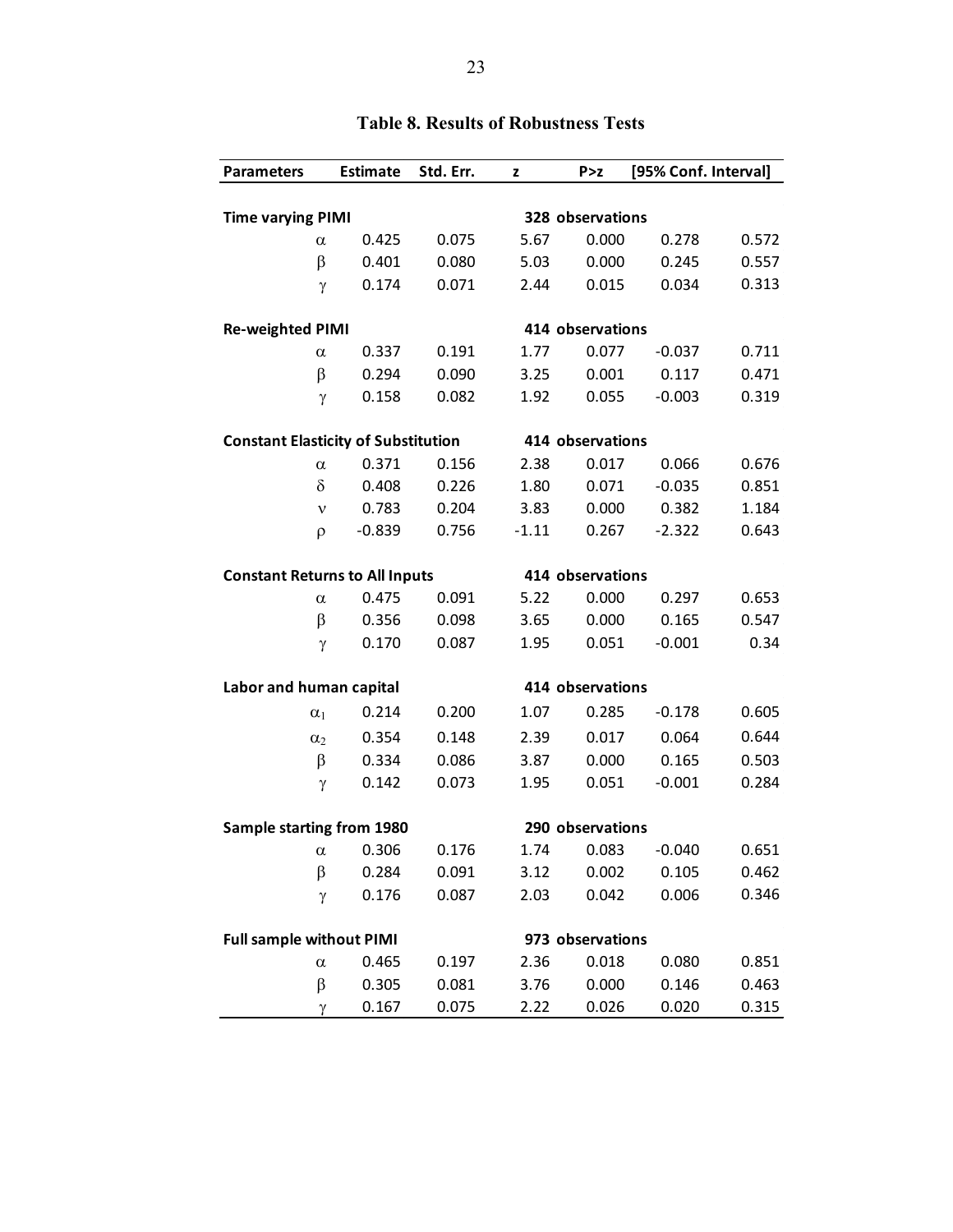| <b>Parameters</b>                          | <b>Estimate</b> | Std. Err. | z       | P > z            | [95% Conf. Interval] |       |
|--------------------------------------------|-----------------|-----------|---------|------------------|----------------------|-------|
|                                            |                 |           |         |                  |                      |       |
| <b>Time varying PIMI</b>                   |                 |           |         | 328 observations |                      |       |
| α                                          | 0.425           | 0.075     | 5.67    | 0.000            | 0.278                | 0.572 |
| $\beta$                                    | 0.401           | 0.080     | 5.03    | 0.000            | 0.245                | 0.557 |
| $\gamma$                                   | 0.174           | 0.071     | 2.44    | 0.015            | 0.034                | 0.313 |
| <b>Re-weighted PIMI</b>                    |                 |           |         | 414 observations |                      |       |
| $\alpha$                                   | 0.337           | 0.191     | 1.77    | 0.077            | $-0.037$             | 0.711 |
| $\beta$                                    | 0.294           | 0.090     | 3.25    | 0.001            | 0.117                | 0.471 |
| $\gamma$                                   | 0.158           | 0.082     | 1.92    | 0.055            | $-0.003$             | 0.319 |
| <b>Constant Elasticity of Substitution</b> |                 |           |         | 414 observations |                      |       |
| $\alpha$                                   | 0.371           | 0.156     | 2.38    | 0.017            | 0.066                | 0.676 |
| $\delta$                                   | 0.408           | 0.226     | 1.80    | 0.071            | $-0.035$             | 0.851 |
| $\mathbf{v}$                               | 0.783           | 0.204     | 3.83    | 0.000            | 0.382                | 1.184 |
| $\rho$                                     | $-0.839$        | 0.756     | $-1.11$ | 0.267            | $-2.322$             | 0.643 |
| <b>Constant Returns to All Inputs</b>      |                 |           |         | 414 observations |                      |       |
| $\alpha$                                   | 0.475           | 0.091     | 5.22    | 0.000            | 0.297                | 0.653 |
| $\beta$                                    | 0.356           | 0.098     | 3.65    | 0.000            | 0.165                | 0.547 |
|                                            | 0.170           | 0.087     | 1.95    | 0.051            | $-0.001$             | 0.34  |
| $\gamma$                                   |                 |           |         |                  |                      |       |
| Labor and human capital                    |                 |           |         | 414 observations |                      |       |
| $\alpha_1$                                 | 0.214           | 0.200     | 1.07    | 0.285            | $-0.178$             | 0.605 |
| $\alpha_2$                                 | 0.354           | 0.148     | 2.39    | 0.017            | 0.064                | 0.644 |
| $\beta$                                    | 0.334           | 0.086     | 3.87    | 0.000            | 0.165                | 0.503 |
| $\gamma$                                   | 0.142           | 0.073     | 1.95    | 0.051            | $-0.001$             | 0.284 |
| Sample starting from 1980                  |                 |           |         | 290 observations |                      |       |
|                                            | $\alpha$ 0.306  | 0.176     |         | 1.74 0.083       | $-0.040$             | 0.651 |
|                                            |                 |           |         |                  | 0.105                |       |
| β                                          | 0.284           | 0.091     | 3.12    | 0.002            |                      | 0.462 |
| $\gamma$                                   | 0.176           | 0.087     | 2.03    | 0.042            | 0.006                | 0.346 |
| <b>Full sample without PIMI</b>            |                 |           |         | 973 observations |                      |       |
| $\alpha$                                   | 0.465           | 0.197     | 2.36    | 0.018            | 0.080                | 0.851 |
| $\beta$                                    | 0.305           | 0.081     | 3.76    | 0.000            | 0.146                | 0.463 |
| $\gamma$                                   | 0.167           | 0.075     | 2.22    | 0.026            | 0.020                | 0.315 |

### **Table 8. Results of Robustness Tests**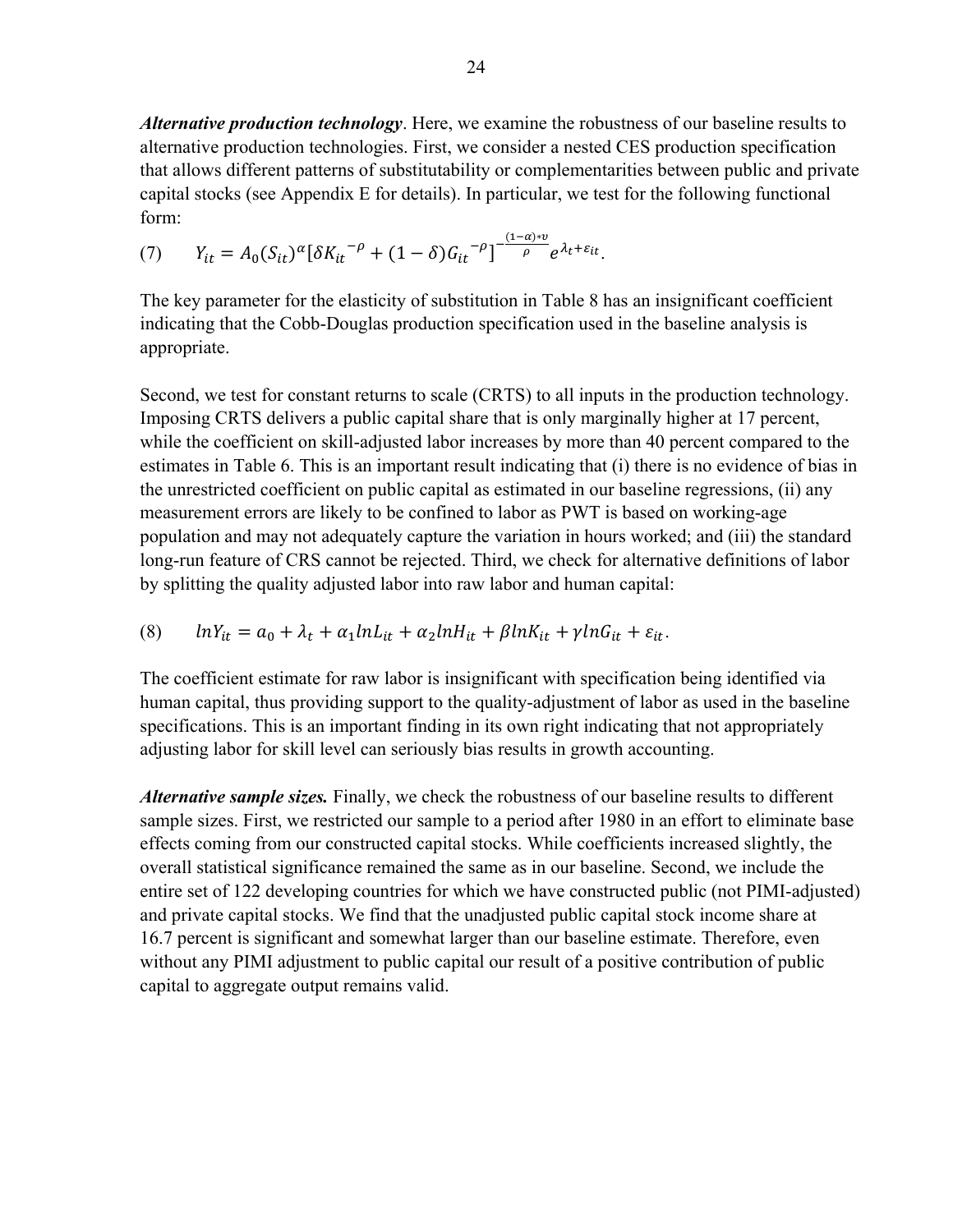*Alternative production technology*. Here, we examine the robustness of our baseline results to alternative production technologies. First, we consider a nested CES production specification that allows different patterns of substitutability or complementarities between public and private capital stocks (see Appendix E for details). In particular, we test for the following functional form:

(7) 
$$
Y_{it} = A_0 (S_{it})^{\alpha} [\delta K_{it}^{-\rho} + (1-\delta) G_{it}^{-\rho}]^{-\frac{(1-\alpha)\ast v}{\rho}} e^{\lambda_t + \varepsilon_{it}}.
$$

The key parameter for the elasticity of substitution in Table 8 has an insignificant coefficient indicating that the Cobb-Douglas production specification used in the baseline analysis is appropriate.

Second, we test for constant returns to scale (CRTS) to all inputs in the production technology. Imposing CRTS delivers a public capital share that is only marginally higher at 17 percent, while the coefficient on skill-adjusted labor increases by more than 40 percent compared to the estimates in Table 6. This is an important result indicating that (i) there is no evidence of bias in the unrestricted coefficient on public capital as estimated in our baseline regressions, (ii) any measurement errors are likely to be confined to labor as PWT is based on working-age population and may not adequately capture the variation in hours worked; and (iii) the standard long-run feature of CRS cannot be rejected. Third, we check for alternative definitions of labor by splitting the quality adjusted labor into raw labor and human capital:

$$
(8) \qquad lnY_{it} = a_0 + \lambda_t + \alpha_1 ln L_{it} + \alpha_2 ln H_{it} + \beta ln K_{it} + \gamma ln G_{it} + \varepsilon_{it}.
$$

The coefficient estimate for raw labor is insignificant with specification being identified via human capital, thus providing support to the quality-adjustment of labor as used in the baseline specifications. This is an important finding in its own right indicating that not appropriately adjusting labor for skill level can seriously bias results in growth accounting.

*Alternative sample sizes.* Finally, we check the robustness of our baseline results to different sample sizes. First, we restricted our sample to a period after 1980 in an effort to eliminate base effects coming from our constructed capital stocks. While coefficients increased slightly, the overall statistical significance remained the same as in our baseline. Second, we include the entire set of 122 developing countries for which we have constructed public (not PIMI-adjusted) and private capital stocks. We find that the unadjusted public capital stock income share at 16.7 percent is significant and somewhat larger than our baseline estimate. Therefore, even without any PIMI adjustment to public capital our result of a positive contribution of public capital to aggregate output remains valid.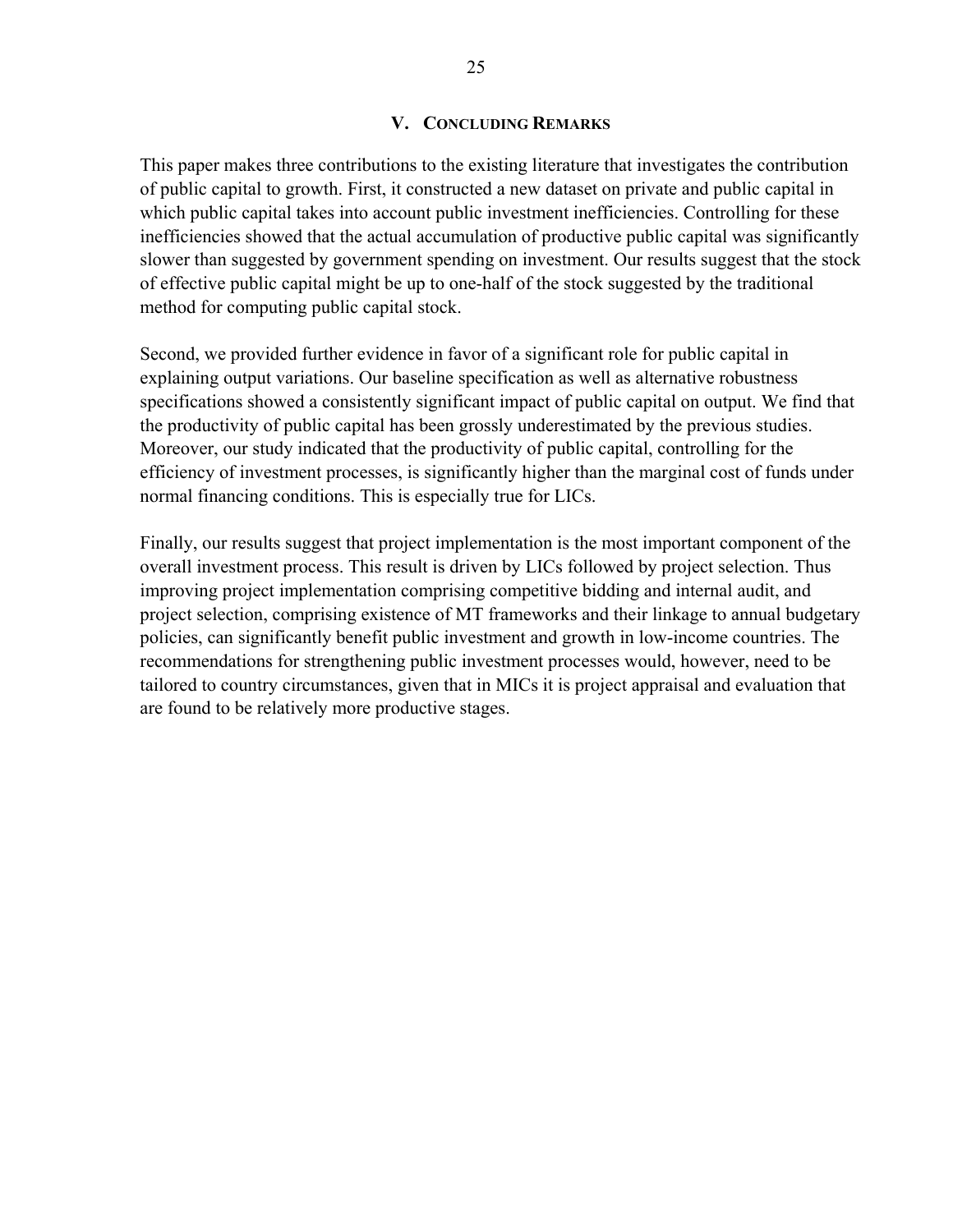#### **V. CONCLUDING REMARKS**

This paper makes three contributions to the existing literature that investigates the contribution of public capital to growth. First, it constructed a new dataset on private and public capital in which public capital takes into account public investment inefficiencies. Controlling for these inefficiencies showed that the actual accumulation of productive public capital was significantly slower than suggested by government spending on investment. Our results suggest that the stock of effective public capital might be up to one-half of the stock suggested by the traditional method for computing public capital stock.

Second, we provided further evidence in favor of a significant role for public capital in explaining output variations. Our baseline specification as well as alternative robustness specifications showed a consistently significant impact of public capital on output. We find that the productivity of public capital has been grossly underestimated by the previous studies. Moreover, our study indicated that the productivity of public capital, controlling for the efficiency of investment processes, is significantly higher than the marginal cost of funds under normal financing conditions. This is especially true for LICs.

Finally, our results suggest that project implementation is the most important component of the overall investment process. This result is driven by LICs followed by project selection. Thus improving project implementation comprising competitive bidding and internal audit, and project selection, comprising existence of MT frameworks and their linkage to annual budgetary policies, can significantly benefit public investment and growth in low-income countries. The recommendations for strengthening public investment processes would, however, need to be tailored to country circumstances, given that in MICs it is project appraisal and evaluation that are found to be relatively more productive stages.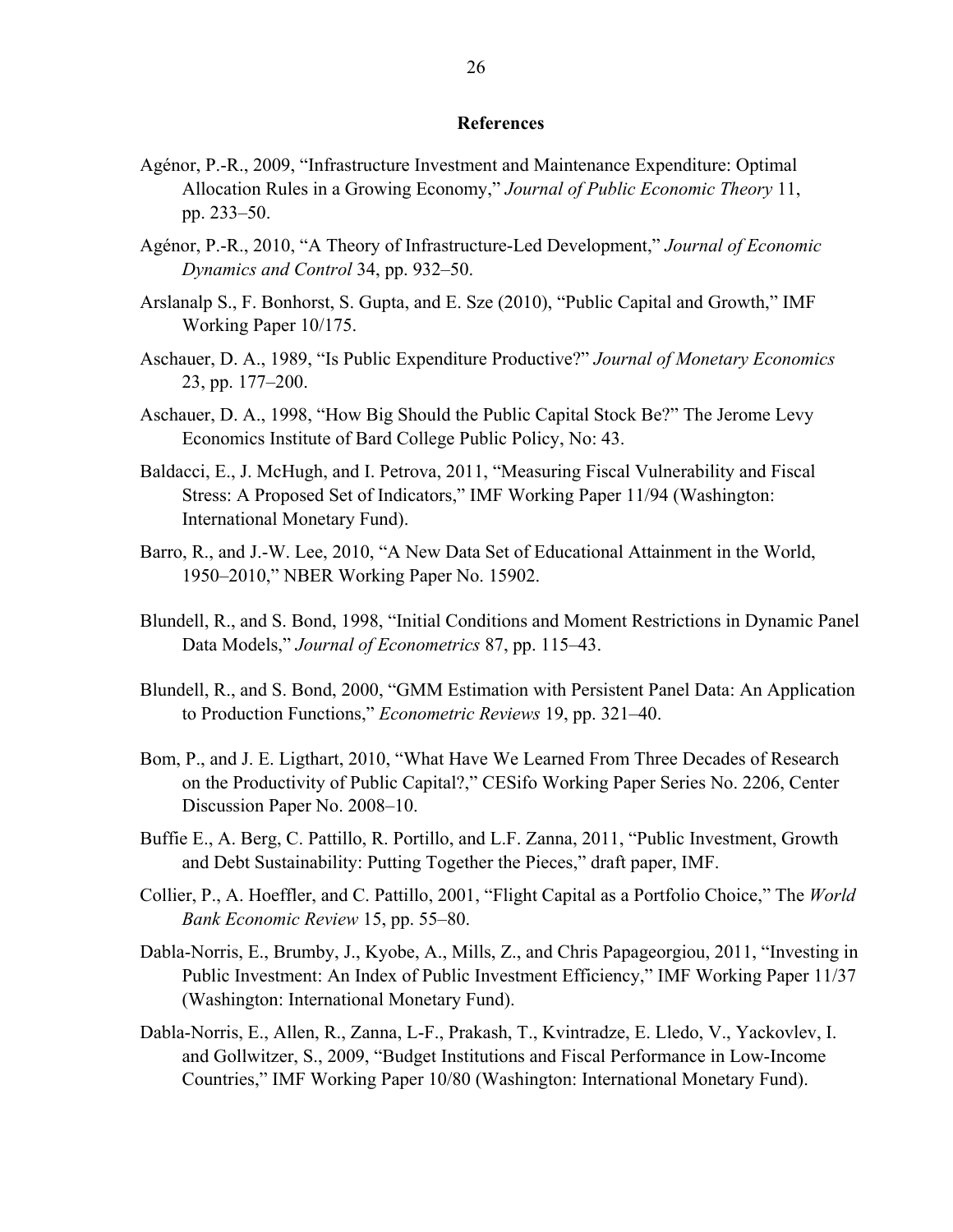#### **References**

- Agénor, P.-R., 2009, "Infrastructure Investment and Maintenance Expenditure: Optimal Allocation Rules in a Growing Economy," *Journal of Public Economic Theory* 11, pp. 233–50.
- Agénor, P.-R., 2010, "A Theory of Infrastructure-Led Development," *Journal of Economic Dynamics and Control* 34, pp. 932–50.
- Arslanalp S., F. Bonhorst, S. Gupta, and E. Sze (2010), "Public Capital and Growth," IMF Working Paper 10/175.
- Aschauer, D. A., 1989, "Is Public Expenditure Productive?" *Journal of Monetary Economics* 23, pp. 177–200.
- Aschauer, D. A., 1998, "How Big Should the Public Capital Stock Be?" The Jerome Levy Economics Institute of Bard College Public Policy, No: 43.
- Baldacci, E., J. McHugh, and I. Petrova, 2011, "Measuring Fiscal Vulnerability and Fiscal Stress: A Proposed Set of Indicators," IMF Working Paper 11/94 (Washington: International Monetary Fund).
- Barro, R., and J.-W. Lee, 2010, "A New Data Set of Educational Attainment in the World, 1950–2010," NBER Working Paper No. 15902.
- Blundell, R., and S. Bond, 1998, "Initial Conditions and Moment Restrictions in Dynamic Panel Data Models," *Journal of Econometrics* 87, pp. 115–43.
- Blundell, R., and S. Bond, 2000, "GMM Estimation with Persistent Panel Data: An Application to Production Functions," *Econometric Reviews* 19, pp. 321–40.
- Bom, P., and J. E. Ligthart, 2010, "What Have We Learned From Three Decades of Research on the Productivity of Public Capital?," CESifo Working Paper Series No. 2206, Center Discussion Paper No. 2008–10.
- Buffie E., A. Berg, C. Pattillo, R. Portillo, and L.F. Zanna, 2011, "Public Investment, Growth and Debt Sustainability: Putting Together the Pieces," draft paper, IMF.
- Collier, P., A. Hoeffler, and C. Pattillo, 2001, "Flight Capital as a Portfolio Choice," The *World Bank Economic Review* 15, pp. 55–80.
- Dabla-Norris, E., Brumby, J., Kyobe, A., Mills, Z., and Chris Papageorgiou, 2011, "Investing in Public Investment: An Index of Public Investment Efficiency," IMF Working Paper 11/37 (Washington: International Monetary Fund).
- Dabla-Norris, E., Allen, R., Zanna, L-F., Prakash, T., Kvintradze, E. Lledo, V., Yackovlev, I. and Gollwitzer, S., 2009, "Budget Institutions and Fiscal Performance in Low-Income Countries," IMF Working Paper 10/80 (Washington: International Monetary Fund).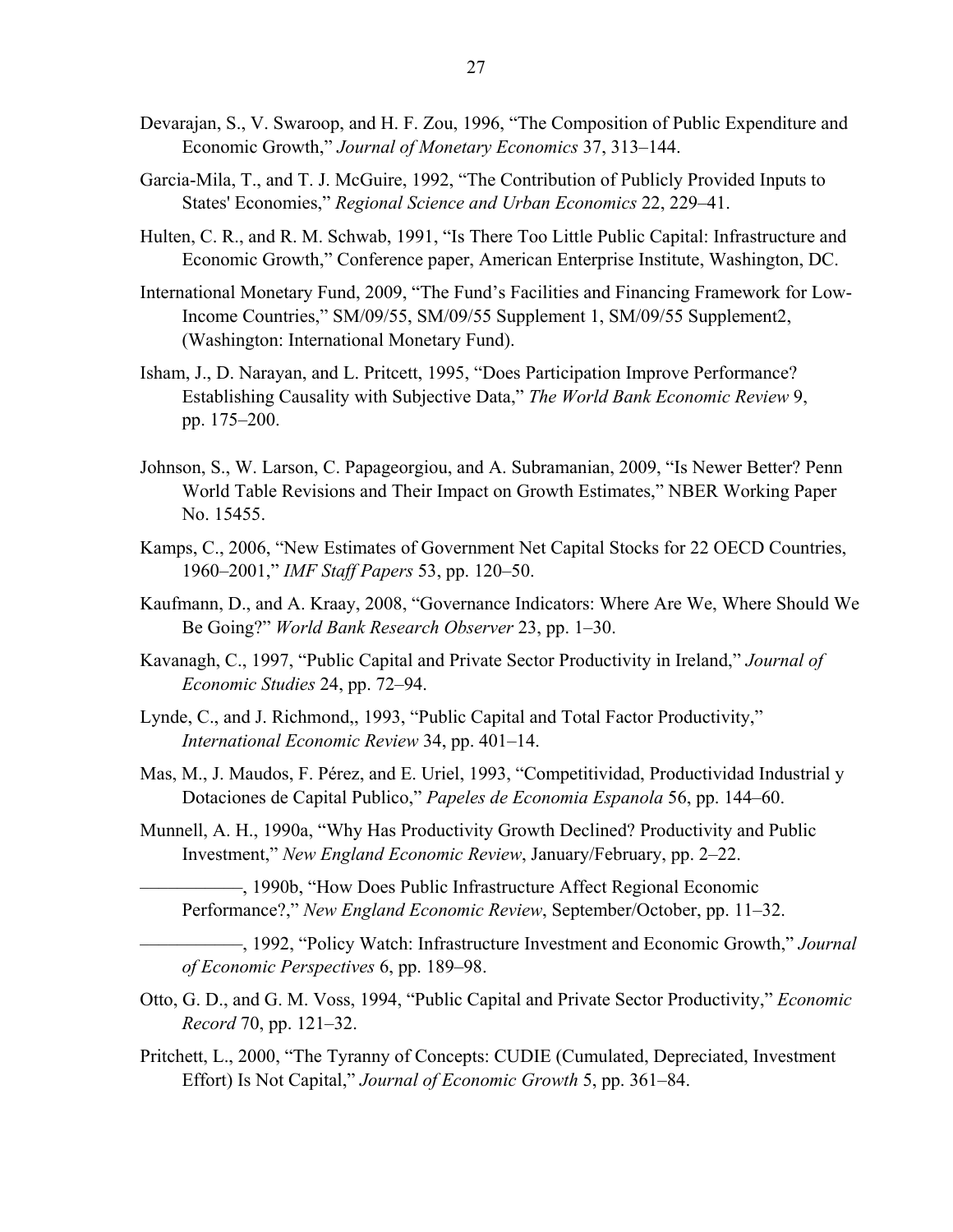- Devarajan, S., V. Swaroop, and H. F. Zou, 1996, "The Composition of Public Expenditure and Economic Growth," *Journal of Monetary Economics* 37, 313–144.
- Garcia-Mila, T., and T. J. McGuire, 1992, "The Contribution of Publicly Provided Inputs to States' Economies," *Regional Science and Urban Economics* 22, 229–41.
- Hulten, C. R., and R. M. Schwab, 1991, "Is There Too Little Public Capital: Infrastructure and Economic Growth," Conference paper, American Enterprise Institute, Washington, DC.
- International Monetary Fund, 2009, "The Fund's Facilities and Financing Framework for Low-Income Countries," SM/09/55, SM/09/55 Supplement 1, SM/09/55 Supplement2, (Washington: International Monetary Fund).
- Isham, J., D. Narayan, and L. Pritcett, 1995, "Does Participation Improve Performance? Establishing Causality with Subjective Data," *The World Bank Economic Review* 9, pp. 175–200.
- Johnson, S., W. Larson, C. Papageorgiou, and A. Subramanian, 2009, "Is Newer Better? Penn World Table Revisions and Their Impact on Growth Estimates," NBER Working Paper No. 15455.
- Kamps, C., 2006, "New Estimates of Government Net Capital Stocks for 22 OECD Countries, 1960–2001," *IMF Staff Papers* 53, pp. 120–50.
- Kaufmann, D., and A. Kraay, 2008, "Governance Indicators: Where Are We, Where Should We Be Going?" *World Bank Research Observer* 23, pp. 1–30.
- Kavanagh, C., 1997, "Public Capital and Private Sector Productivity in Ireland," *Journal of Economic Studies* 24, pp. 72–94.
- Lynde, C., and J. Richmond,, 1993, "Public Capital and Total Factor Productivity," *International Economic Review* 34, pp. 401–14.
- Mas, M., J. Maudos, F. Pérez, and E. Uriel, 1993, "Competitividad, Productividad Industrial y Dotaciones de Capital Publico," *Papeles de Economia Espanola* 56, pp. 144–60.
- Munnell, A. H., 1990a, "Why Has Productivity Growth Declined? Productivity and Public Investment," *New England Economic Review*, January/February, pp. 2–22.

–––––––––––, 1990b, "How Does Public Infrastructure Affect Regional Economic Performance?," *New England Economic Review*, September/October, pp. 11–32.

–––––––––––, 1992, "Policy Watch: Infrastructure Investment and Economic Growth," *Journal of Economic Perspectives* 6, pp. 189–98.

- Otto, G. D., and G. M. Voss, 1994, "Public Capital and Private Sector Productivity," *Economic Record* 70, pp. 121–32.
- Pritchett, L., 2000, "The Tyranny of Concepts: CUDIE (Cumulated, Depreciated, Investment Effort) Is Not Capital," *Journal of Economic Growth* 5, pp. 361–84.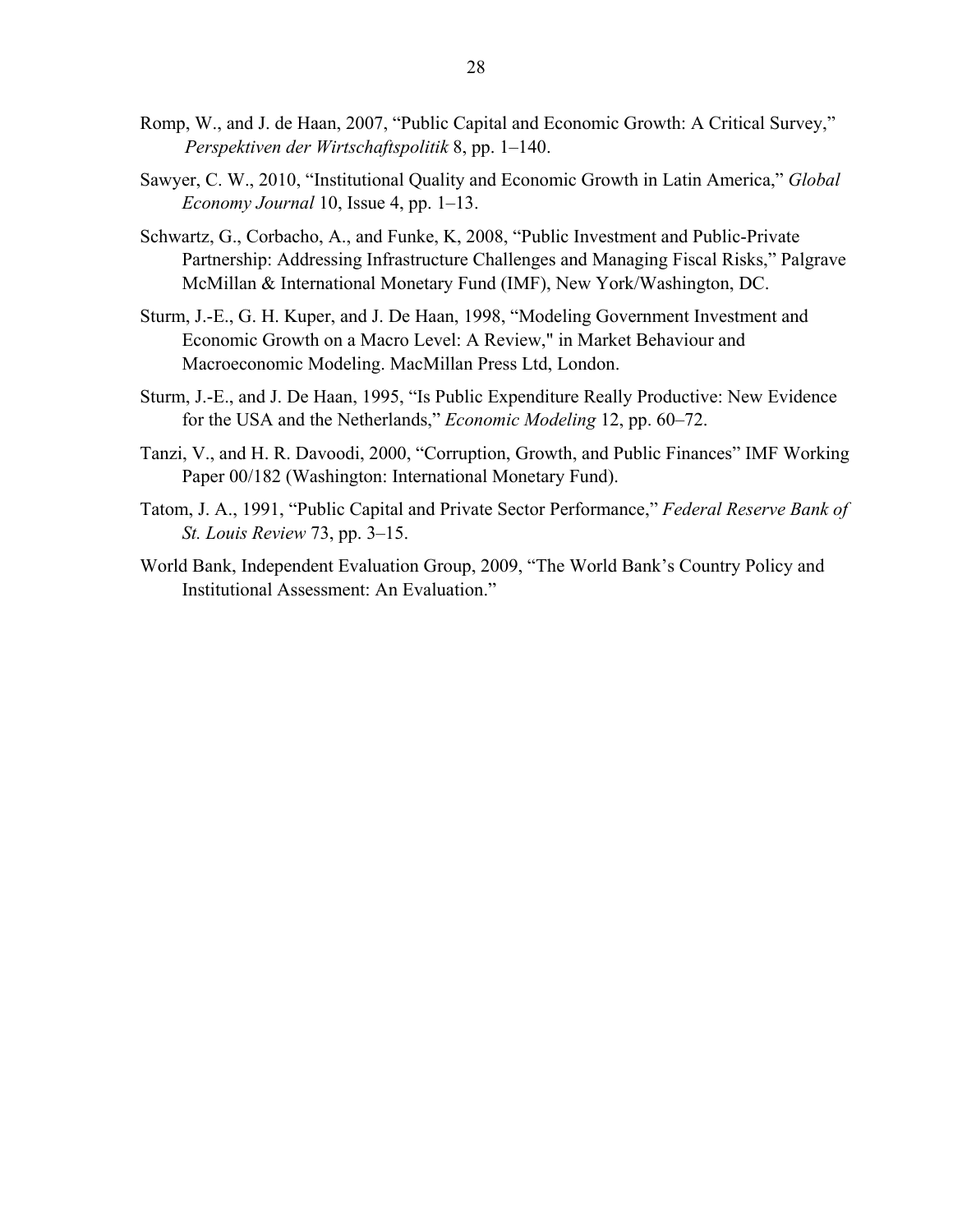- Romp, W., and J. de Haan, 2007, "Public Capital and Economic Growth: A Critical Survey," *Perspektiven der Wirtschaftspolitik* 8, pp. 1–140.
- Sawyer, C. W., 2010, "Institutional Quality and Economic Growth in Latin America," *Global Economy Journal* 10, Issue 4, pp. 1–13.
- Schwartz, G., Corbacho, A., and Funke, K, 2008, "Public Investment and Public-Private Partnership: Addressing Infrastructure Challenges and Managing Fiscal Risks," Palgrave McMillan & International Monetary Fund (IMF), New York/Washington, DC.
- Sturm, J.-E., G. H. Kuper, and J. De Haan, 1998, "Modeling Government Investment and Economic Growth on a Macro Level: A Review," in Market Behaviour and Macroeconomic Modeling. MacMillan Press Ltd, London.
- Sturm, J.-E., and J. De Haan, 1995, "Is Public Expenditure Really Productive: New Evidence for the USA and the Netherlands," *Economic Modeling* 12, pp. 60–72.
- Tanzi, V., and H. R. Davoodi, 2000, "Corruption, Growth, and Public Finances" IMF Working Paper 00/182 (Washington: International Monetary Fund).
- Tatom, J. A., 1991, "Public Capital and Private Sector Performance," *Federal Reserve Bank of St. Louis Review* 73, pp. 3–15.
- World Bank, Independent Evaluation Group, 2009, "The World Bank's Country Policy and Institutional Assessment: An Evaluation."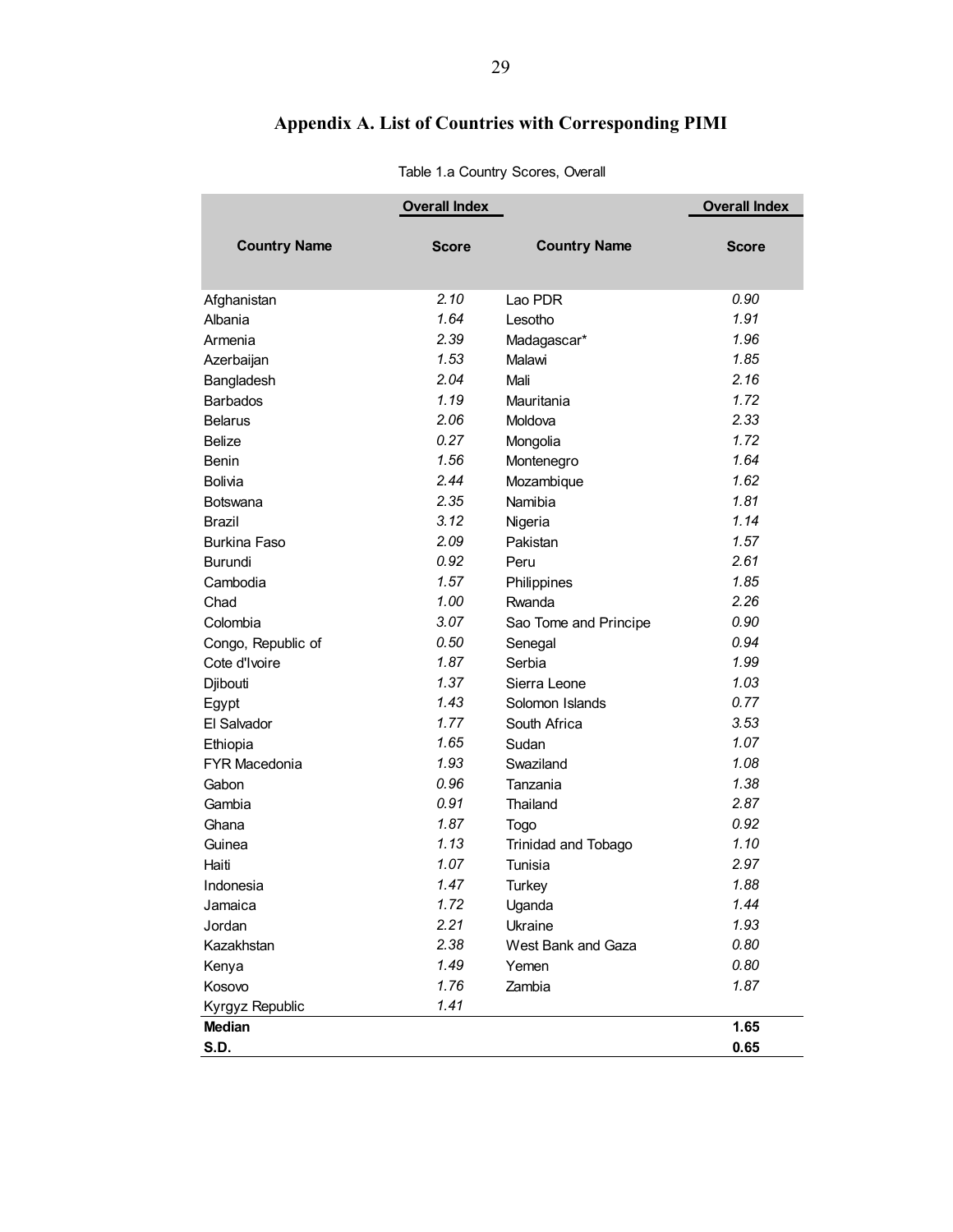# **Appendix A. List of Countries with Corresponding PIMI**

|                      | <b>Overall Index</b> |                            | <b>Overall Index</b> |
|----------------------|----------------------|----------------------------|----------------------|
| <b>Country Name</b>  | <b>Score</b>         | <b>Country Name</b>        | <b>Score</b>         |
| Afghanistan          | 2.10                 | Lao PDR                    | 0.90                 |
| Albania              | 1.64                 | Lesotho                    | 1.91                 |
| Armenia              | 2.39                 | Madagascar*                | 1.96                 |
| Azerbaijan           | 1.53                 | Malawi                     | 1.85                 |
| Bangladesh           | 2.04                 | Mali                       | 2.16                 |
| <b>Barbados</b>      | 1.19                 | Mauritania                 | 1.72                 |
| <b>Belarus</b>       | 2.06                 | Moldova                    | 2.33                 |
| <b>Belize</b>        | 0.27                 | Mongolia                   | 1.72                 |
| Benin                | 1.56                 | Montenegro                 | 1.64                 |
| Bolivia              | 2.44                 | Mozambique                 | 1.62                 |
| Botswana             | 2.35                 | Namibia                    | 1.81                 |
| <b>Brazil</b>        | 3.12                 | Nigeria                    | 1.14                 |
| <b>Burkina Faso</b>  | 2.09                 | Pakistan                   | 1.57                 |
| <b>Burundi</b>       | 0.92                 | Peru                       | 2.61                 |
| Cambodia             | 1.57                 | Philippines                | 1.85                 |
| Chad                 | 1.00                 | Rwanda                     | 2.26                 |
| Colombia             | 3.07                 | Sao Tome and Principe      | 0.90                 |
| Congo, Republic of   | 0.50                 | Senegal                    | 0.94                 |
| Cote d'Ivoire        | 1.87                 | Serbia                     | 1.99                 |
| Djibouti             | 1.37                 | Sierra Leone               | 1.03                 |
| Egypt                | 1.43                 | Solomon Islands            | 0.77                 |
| El Salvador          | 1.77                 | South Africa               | 3.53                 |
| Ethiopia             | 1.65                 | Sudan                      | 1.07                 |
| <b>FYR Macedonia</b> | 1.93                 | Swaziland                  | 1.08                 |
| Gabon                | 0.96                 | Tanzania                   | 1.38                 |
| Gambia               | 0.91                 | Thailand                   | 2.87                 |
| Ghana                | 1.87                 | Togo                       | 0.92                 |
| Guinea               | 1.13                 | <b>Trinidad and Tobago</b> | 1.10                 |
| Haiti                | 1.07                 | Tunisia                    | 2.97                 |
| Indonesia            | 1.47                 | Turkey                     | 1.88                 |
| Jamaica              | 1.72                 | Uganda                     | 1.44                 |
| Jordan               | 2.21                 | Ukraine                    | 1.93                 |
| Kazakhstan           | 2.38                 | West Bank and Gaza         | 0.80                 |
| Kenya                | 1.49                 | Yemen                      | 0.80                 |
| Kosovo               | 1.76                 | Zambia                     | 1.87                 |
| Kyrgyz Republic      | 1.41                 |                            |                      |
| <b>Median</b>        |                      |                            | 1.65                 |
| S.D.                 |                      |                            | 0.65                 |

Table 1.a Country Scores, Overall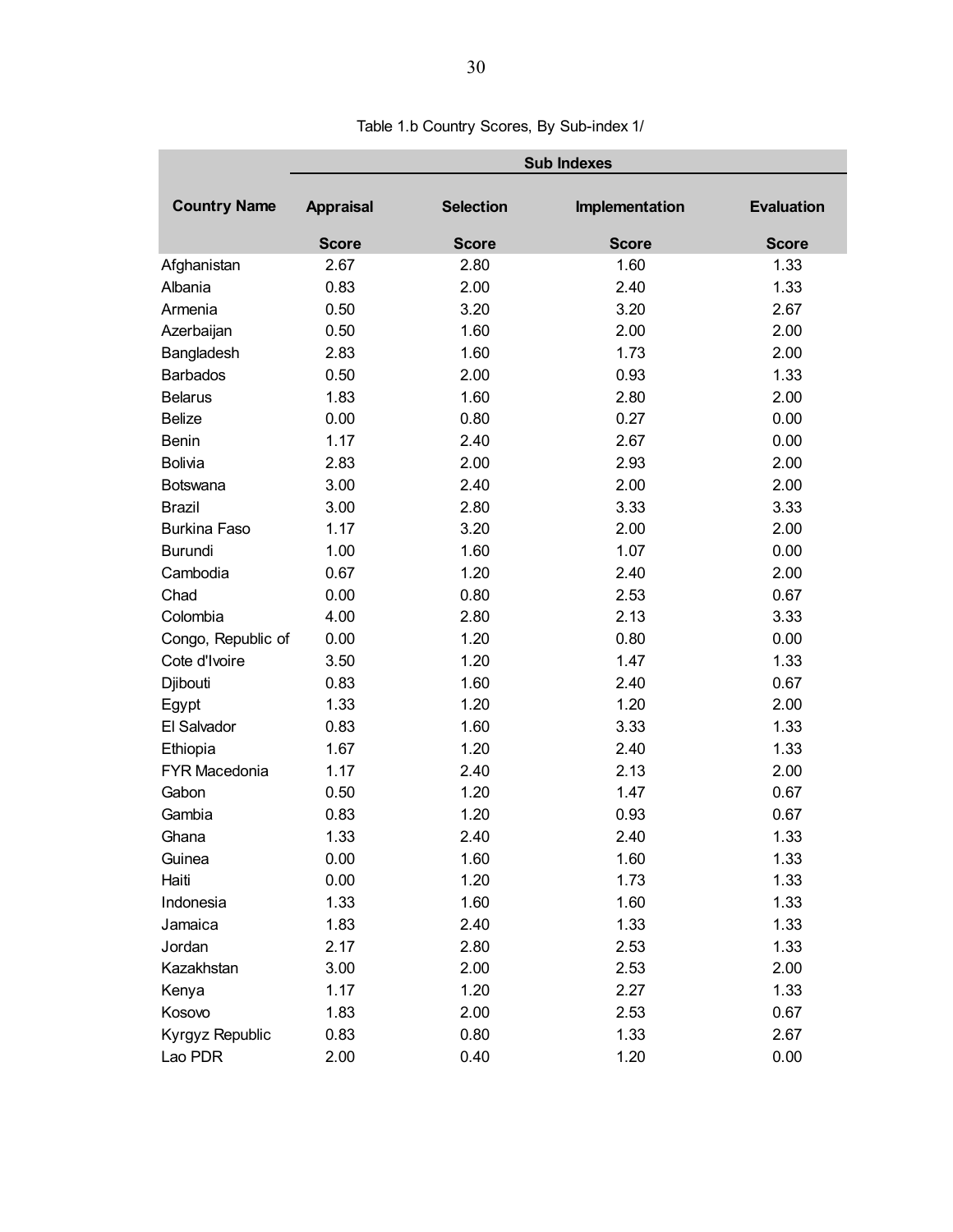|                     | <b>Sub Indexes</b> |                  |                |                   |  |  |  |  |
|---------------------|--------------------|------------------|----------------|-------------------|--|--|--|--|
| <b>Country Name</b> | <b>Appraisal</b>   | <b>Selection</b> | Implementation | <b>Evaluation</b> |  |  |  |  |
|                     | <b>Score</b>       | <b>Score</b>     | <b>Score</b>   | <b>Score</b>      |  |  |  |  |
| Afghanistan         | 2.67               | 2.80             | 1.60           | 1.33              |  |  |  |  |
| Albania             | 0.83               | 2.00             | 2.40           | 1.33              |  |  |  |  |
| Armenia             | 0.50               | 3.20             | 3.20           | 2.67              |  |  |  |  |
| Azerbaijan          | 0.50               | 1.60             | 2.00           | 2.00              |  |  |  |  |
| Bangladesh          | 2.83               | 1.60             | 1.73           | 2.00              |  |  |  |  |
| <b>Barbados</b>     | 0.50               | 2.00             | 0.93           | 1.33              |  |  |  |  |
| <b>Belarus</b>      | 1.83               | 1.60             | 2.80           | 2.00              |  |  |  |  |
| <b>Belize</b>       | 0.00               | 0.80             | 0.27           | 0.00              |  |  |  |  |
| Benin               | 1.17               | 2.40             | 2.67           | 0.00              |  |  |  |  |
| Bolivia             | 2.83               | 2.00             | 2.93           | 2.00              |  |  |  |  |
| Botswana            | 3.00               | 2.40             | 2.00           | 2.00              |  |  |  |  |
| <b>Brazil</b>       | 3.00               | 2.80             | 3.33           | 3.33              |  |  |  |  |
| <b>Burkina Faso</b> | 1.17               | 3.20             | 2.00           | 2.00              |  |  |  |  |
| Burundi             | 1.00               | 1.60             | 1.07           | 0.00              |  |  |  |  |
| Cambodia            | 0.67               | 1.20             | 2.40           | 2.00              |  |  |  |  |
| Chad                | 0.00               | 0.80             | 2.53           | 0.67              |  |  |  |  |
| Colombia            | 4.00               | 2.80             | 2.13           | 3.33              |  |  |  |  |
| Congo, Republic of  | 0.00               | 1.20             | 0.80           | 0.00              |  |  |  |  |
| Cote d'Ivoire       | 3.50               | 1.20             | 1.47           | 1.33              |  |  |  |  |
| Djibouti            | 0.83               | 1.60             | 2.40           | 0.67              |  |  |  |  |
| Egypt               | 1.33               | 1.20             | 1.20           | 2.00              |  |  |  |  |
| El Salvador         | 0.83               | 1.60             | 3.33           | 1.33              |  |  |  |  |
| Ethiopia            | 1.67               | 1.20             | 2.40           | 1.33              |  |  |  |  |
| FYR Macedonia       | 1.17               | 2.40             | 2.13           | 2.00              |  |  |  |  |
| Gabon               | 0.50               | 1.20             | 1.47           | 0.67              |  |  |  |  |
| Gambia              | 0.83               | 1.20             | 0.93           | 0.67              |  |  |  |  |
| Ghana               | 1.33               | 2.40             | 2.40           | 1.33              |  |  |  |  |
| Guinea              | 0.00               | 1.60             | 1.60           | 1.33              |  |  |  |  |
| Haiti               | 0.00               | 1.20             | 1.73           | 1.33              |  |  |  |  |
| Indonesia           | 1.33               | 1.60             | 1.60           | 1.33              |  |  |  |  |
| Jamaica             | 1.83               | 2.40             | 1.33           | 1.33              |  |  |  |  |
| Jordan              | 2.17               | 2.80             | 2.53           | 1.33              |  |  |  |  |
| Kazakhstan          | 3.00               | 2.00             | 2.53           | 2.00              |  |  |  |  |
| Kenya               | 1.17               | 1.20             | 2.27           | 1.33              |  |  |  |  |
| Kosovo              | 1.83               | 2.00             | 2.53           | 0.67              |  |  |  |  |
| Kyrgyz Republic     | 0.83               | 0.80             | 1.33           | 2.67              |  |  |  |  |
| Lao PDR             | 2.00               | 0.40             | 1.20           | 0.00              |  |  |  |  |

Table 1.b Country Scores, By Sub-index 1/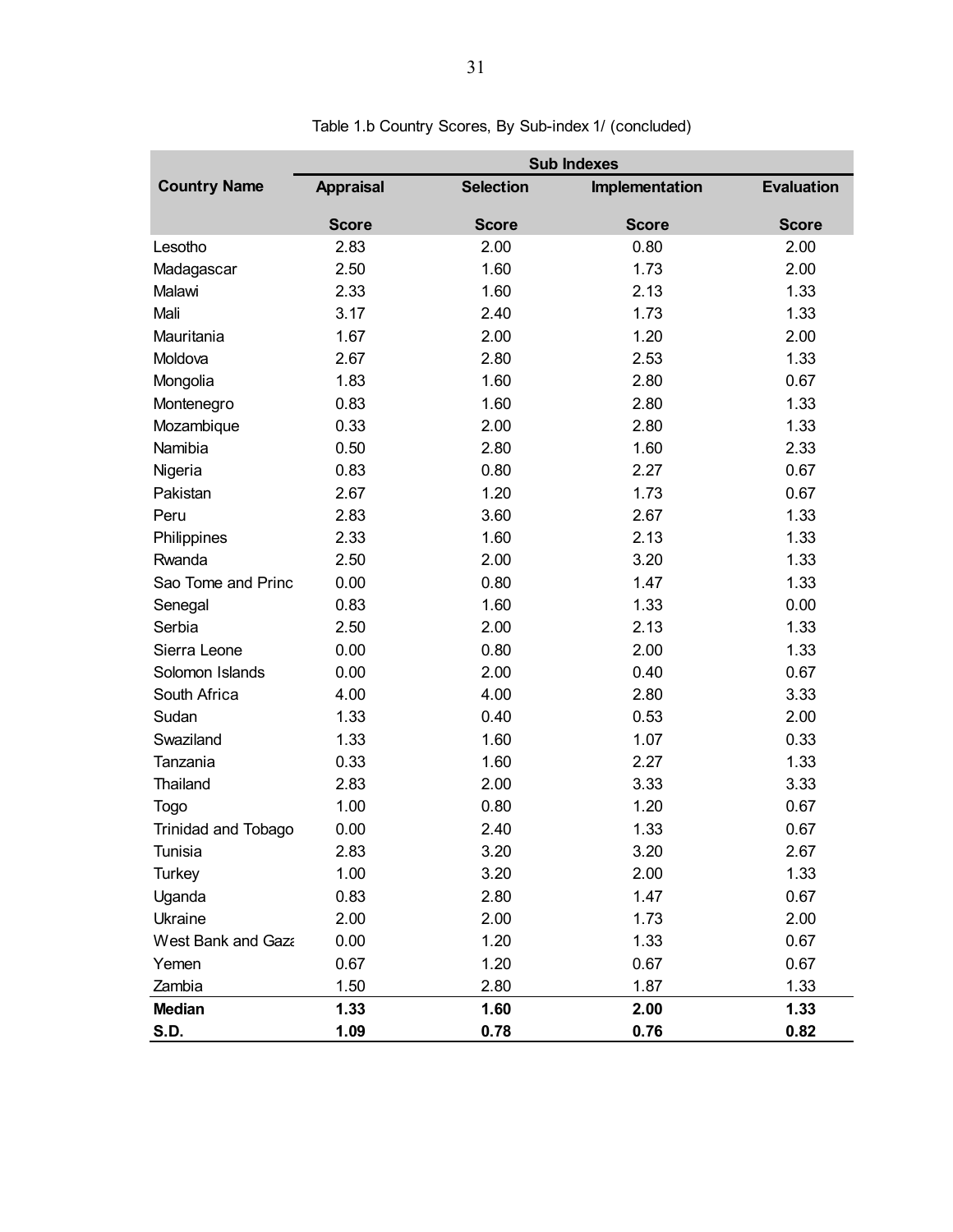|                            | <b>Sub Indexes</b> |                  |                |                   |
|----------------------------|--------------------|------------------|----------------|-------------------|
| <b>Country Name</b>        | <b>Appraisal</b>   | <b>Selection</b> | Implementation | <b>Evaluation</b> |
|                            | <b>Score</b>       | <b>Score</b>     | <b>Score</b>   | <b>Score</b>      |
| Lesotho                    | 2.83               | 2.00             | 0.80           | 2.00              |
| Madagascar                 | 2.50               | 1.60             | 1.73           | 2.00              |
| Malawi                     | 2.33               | 1.60             | 2.13           | 1.33              |
| Mali                       | 3.17               | 2.40             | 1.73           | 1.33              |
| Mauritania                 | 1.67               | 2.00             | 1.20           | 2.00              |
| Moldova                    | 2.67               | 2.80             | 2.53           | 1.33              |
| Mongolia                   | 1.83               | 1.60             | 2.80           | 0.67              |
| Montenegro                 | 0.83               | 1.60             | 2.80           | 1.33              |
| Mozambique                 | 0.33               | 2.00             | 2.80           | 1.33              |
| Namibia                    | 0.50               | 2.80             | 1.60           | 2.33              |
| Nigeria                    | 0.83               | 0.80             | 2.27           | 0.67              |
| Pakistan                   | 2.67               | 1.20             | 1.73           | 0.67              |
| Peru                       | 2.83               | 3.60             | 2.67           | 1.33              |
| Philippines                | 2.33               | 1.60             | 2.13           | 1.33              |
| Rwanda                     | 2.50               | 2.00             | 3.20           | 1.33              |
| Sao Tome and Princ         | 0.00               | 0.80             | 1.47           | 1.33              |
| Senegal                    | 0.83               | 1.60             | 1.33           | 0.00              |
| Serbia                     | 2.50               | 2.00             | 2.13           | 1.33              |
| Sierra Leone               | 0.00               | 0.80             | 2.00           | 1.33              |
| Solomon Islands            | 0.00               | 2.00             | 0.40           | 0.67              |
| South Africa               | 4.00               | 4.00             | 2.80           | 3.33              |
| Sudan                      | 1.33               | 0.40             | 0.53           | 2.00              |
| Swaziland                  | 1.33               | 1.60             | 1.07           | 0.33              |
| Tanzania                   | 0.33               | 1.60             | 2.27           | 1.33              |
| Thailand                   | 2.83               | 2.00             | 3.33           | 3.33              |
| Togo                       | 1.00               | 0.80             | 1.20           | 0.67              |
| <b>Trinidad and Tobago</b> | 0.00               | 2.40             | 1.33           | 0.67              |
| Tunisia                    | 2.83               | 3.20             | 3.20           | 2.67              |
| Turkey                     | 1.00               | 3.20             | 2.00           | 1.33              |
| Uganda                     | 0.83               | 2.80             | 1.47           | 0.67              |
| Ukraine                    | 2.00               | 2.00             | 1.73           | 2.00              |
| West Bank and Gaza         | 0.00               | 1.20             | 1.33           | 0.67              |
| Yemen                      | 0.67               | 1.20             | 0.67           | 0.67              |
| Zambia                     | 1.50               | 2.80             | 1.87           | 1.33              |
| <b>Median</b>              | 1.33               | 1.60             | 2.00           | 1.33              |
| S.D.                       | 1.09               | 0.78             | 0.76           | 0.82              |

# Table 1.b Country Scores, By Sub-index 1/ (concluded)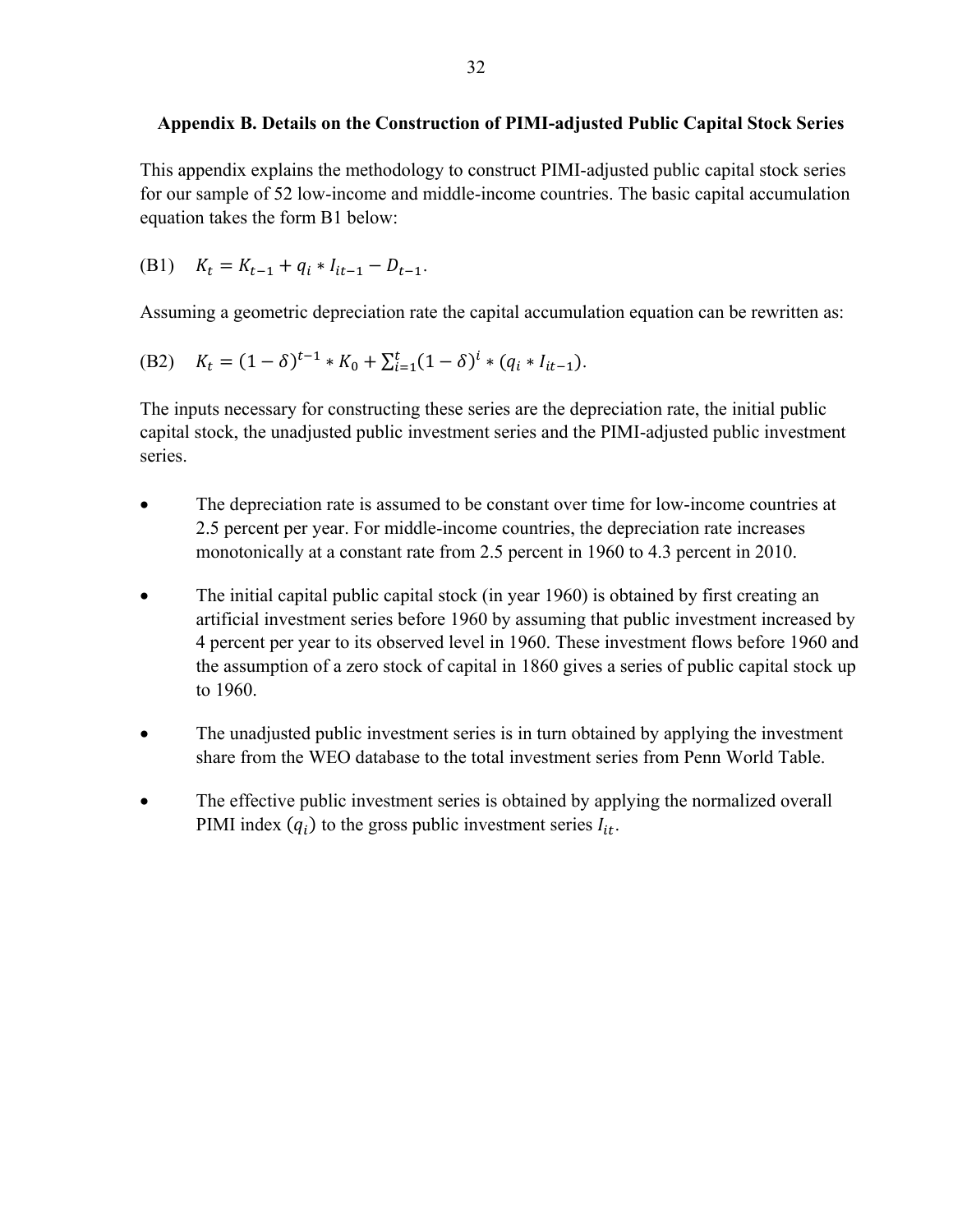#### **Appendix B. Details on the Construction of PIMI-adjusted Public Capital Stock Series**

This appendix explains the methodology to construct PIMI-adjusted public capital stock series for our sample of 52 low-income and middle-income countries. The basic capital accumulation equation takes the form B1 below:

(B1) 
$$
K_t = K_{t-1} + q_i * I_{it-1} - D_{t-1}.
$$

Assuming a geometric depreciation rate the capital accumulation equation can be rewritten as:

(B2) 
$$
K_t = (1 - \delta)^{t-1} * K_0 + \sum_{i=1}^t (1 - \delta)^i * (q_i * I_{it-1}).
$$

The inputs necessary for constructing these series are the depreciation rate, the initial public capital stock, the unadjusted public investment series and the PIMI-adjusted public investment series.

- The depreciation rate is assumed to be constant over time for low-income countries at 2.5 percent per year. For middle-income countries, the depreciation rate increases monotonically at a constant rate from 2.5 percent in 1960 to 4.3 percent in 2010.
- The initial capital public capital stock (in year 1960) is obtained by first creating an artificial investment series before 1960 by assuming that public investment increased by 4 percent per year to its observed level in 1960. These investment flows before 1960 and the assumption of a zero stock of capital in 1860 gives a series of public capital stock up to 1960.
- The unadjusted public investment series is in turn obtained by applying the investment share from the WEO database to the total investment series from Penn World Table.
- The effective public investment series is obtained by applying the normalized overall PIMI index  $(q_i)$  to the gross public investment series  $I_{it}$ .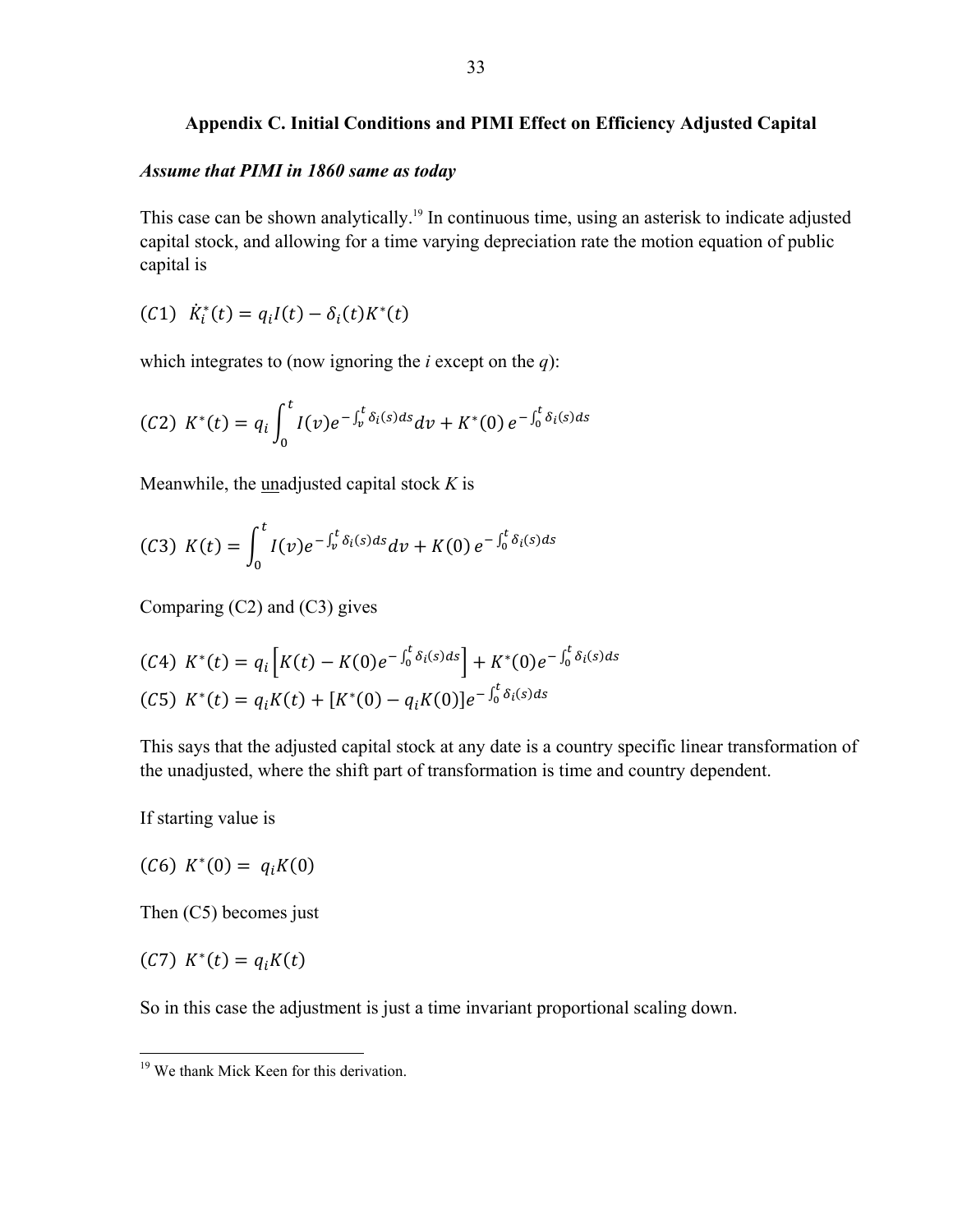#### **Appendix C. Initial Conditions and PIMI Effect on Efficiency Adjusted Capital**

#### *Assume that PIMI in 1860 same as today*

This case can be shown analytically.<sup>19</sup> In continuous time, using an asterisk to indicate adjusted capital stock, and allowing for a time varying depreciation rate the motion equation of public capital is

(C1) 
$$
\dot{K}_i^*(t) = q_i I(t) - \delta_i(t) K^*(t)
$$

which integrates to (now ignoring the *i* except on the *q*):

(C2) 
$$
K^*(t) = q_i \int_0^t I(v)e^{-\int_v^t \delta_i(s)ds} dv + K^*(0)e^{-\int_0^t \delta_i(s)ds}
$$

Meanwhile, the unadjusted capital stock *K* is

(C3) 
$$
K(t) = \int_0^t I(v)e^{-\int_v^t \delta_i(s)ds} dv + K(0) e^{-\int_0^t \delta_i(s)ds}
$$

Comparing  $(C2)$  and  $(C3)$  gives

(C4) 
$$
K^*(t) = q_i \left[ K(t) - K(0)e^{-\int_0^t \delta_i(s)ds} \right] + K^*(0)e^{-\int_0^t \delta_i(s)ds}
$$
  
(C5)  $K^*(t) = q_i K(t) + [K^*(0) - q_i K(0)]e^{-\int_0^t \delta_i(s)ds}$ 

This says that the adjusted capital stock at any date is a country specific linear transformation of the unadjusted, where the shift part of transformation is time and country dependent.

If starting value is

 $(C6) K^*(0) = q_i K(0)$ 

Then (C5) becomes just

 $(C7) K^*(t) = q_i K(t)$ 

 $\overline{a}$ 

So in this case the adjustment is just a time invariant proportional scaling down.

<sup>&</sup>lt;sup>19</sup> We thank Mick Keen for this derivation.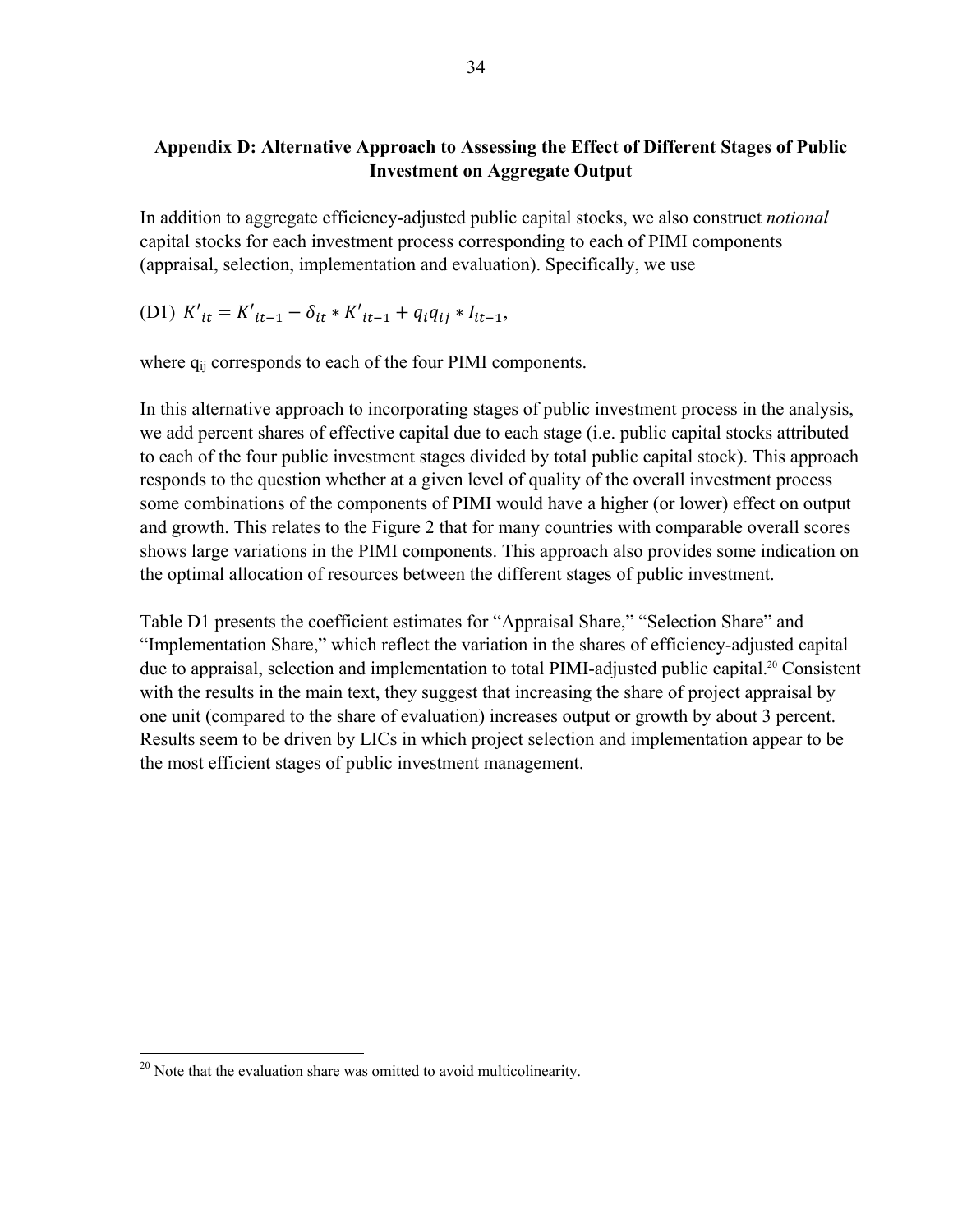### **Appendix D: Alternative Approach to Assessing the Effect of Different Stages of Public Investment on Aggregate Output**

In addition to aggregate efficiency-adjusted public capital stocks, we also construct *notional* capital stocks for each investment process corresponding to each of PIMI components (appraisal, selection, implementation and evaluation). Specifically, we use

(D1)  $K'_{it} = K'_{it-1} - \delta_{it} * K'_{it-1} + q_i q_{i} * I_{it-1},$ 

where  $q_{ii}$  corresponds to each of the four PIMI components.

In this alternative approach to incorporating stages of public investment process in the analysis, we add percent shares of effective capital due to each stage (i.e. public capital stocks attributed to each of the four public investment stages divided by total public capital stock). This approach responds to the question whether at a given level of quality of the overall investment process some combinations of the components of PIMI would have a higher (or lower) effect on output and growth. This relates to the Figure 2 that for many countries with comparable overall scores shows large variations in the PIMI components. This approach also provides some indication on the optimal allocation of resources between the different stages of public investment.

Table D1 presents the coefficient estimates for "Appraisal Share," "Selection Share" and "Implementation Share," which reflect the variation in the shares of efficiency-adjusted capital due to appraisal, selection and implementation to total PIMI-adjusted public capital.20 Consistent with the results in the main text, they suggest that increasing the share of project appraisal by one unit (compared to the share of evaluation) increases output or growth by about 3 percent. Results seem to be driven by LICs in which project selection and implementation appear to be the most efficient stages of public investment management.

<sup>1</sup>  $20$  Note that the evaluation share was omitted to avoid multicolinearity.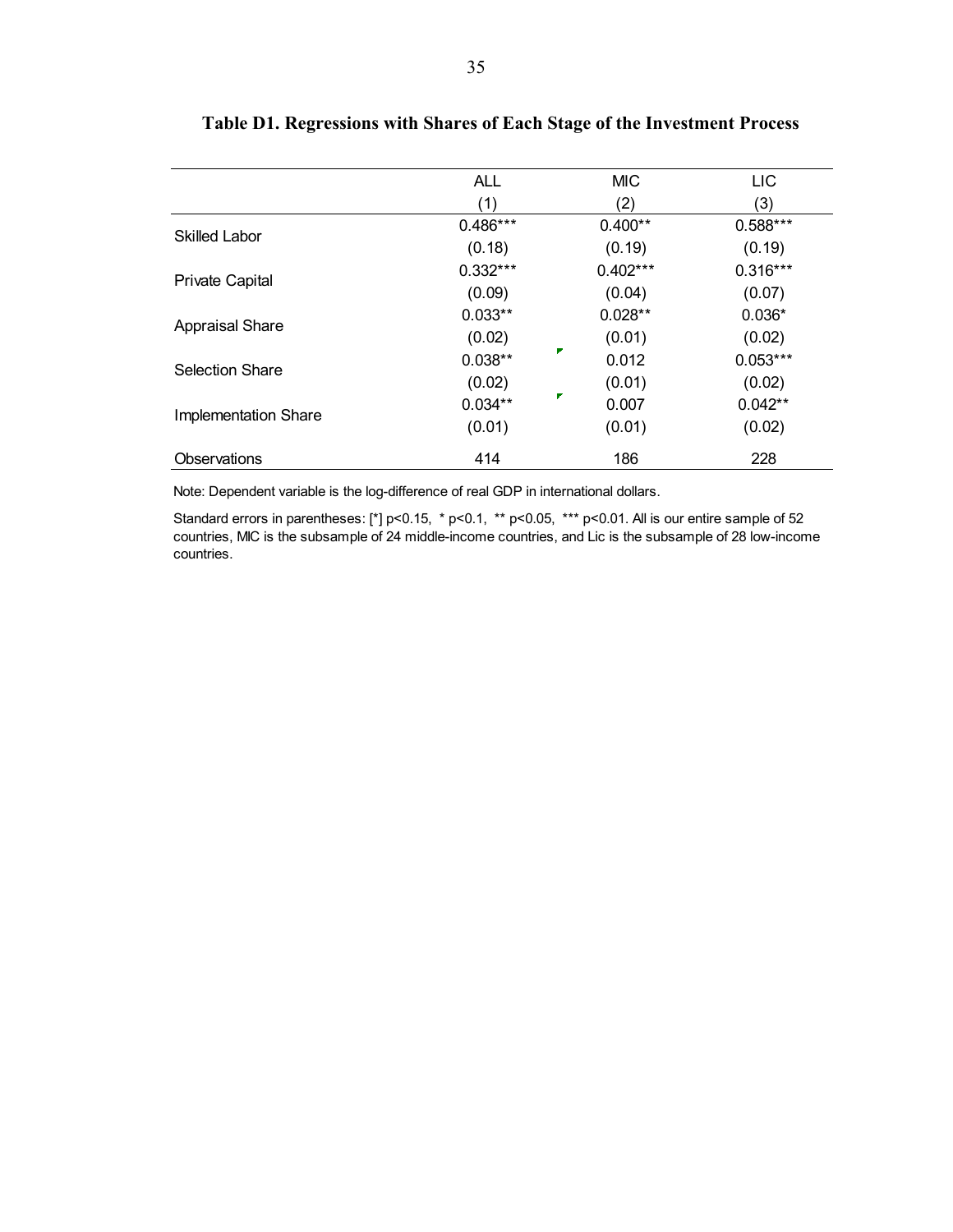|                        | <b>ALL</b> | <b>MIC</b> | <b>LIC</b> |
|------------------------|------------|------------|------------|
|                        | (1)        | (2)        | (3)        |
| <b>Skilled Labor</b>   | $0.486***$ | $0.400**$  | $0.588***$ |
|                        | (0.18)     | (0.19)     | (0.19)     |
| <b>Private Capital</b> | $0.332***$ | $0.402***$ | $0.316***$ |
|                        | (0.09)     | (0.04)     | (0.07)     |
| <b>Appraisal Share</b> | $0.033**$  | $0.028**$  | $0.036*$   |
|                        | (0.02)     | (0.01)     | (0.02)     |
| <b>Selection Share</b> | $0.038**$  | r<br>0.012 | $0.053***$ |
|                        | (0.02)     | (0.01)     | (0.02)     |
| Implementation Share   | $0.034**$  | г<br>0.007 | $0.042**$  |
|                        | (0.01)     | (0.01)     | (0.02)     |
| Observations           | 414        | 186        | 228        |

# **Table D1. Regressions with Shares of Each Stage of the Investment Process**

Note: Dependent variable is the log-difference of real GDP in international dollars.

Standard errors in parentheses: [\*] p<0.15, \* p<0.1, \*\* p<0.05, \*\*\* p<0.01. All is our entire sample of 52 countries, MIC is the subsample of 24 middle-income countries, and Lic is the subsample of 28 low-income countries.